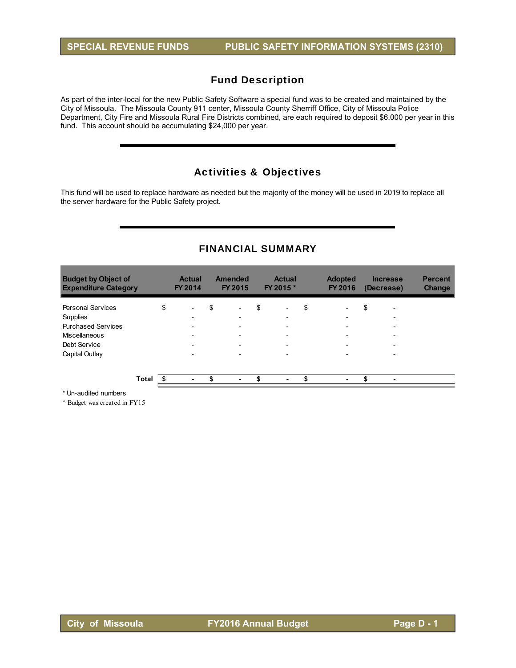As part of the inter-local for the new Public Safety Software a special fund was to be created and maintained by the City of Missoula. The Missoula County 911 center, Missoula County Sherriff Office, City of Missoula Police Department, City Fire and Missoula Rural Fire Districts combined, are each required to deposit \$6,000 per year in this fund. This account should be accumulating \$24,000 per year.

## Activities & Objectives

This fund will be used to replace hardware as needed but the majority of the money will be used in 2019 to replace all the server hardware for the Public Safety project.

## FINANCIAL SUMMARY

| <b>Budget by Object of</b><br><b>Expenditure Category</b> |       | <b>Actual</b><br>FY 2014       | <b>Amended</b><br>FY 2015 | <b>Actual</b><br>FY 2015 *     | <b>Adopted</b><br>FY 2016 | <b>Increase</b><br>(Decrease)  | <b>Percent</b><br>Change |
|-----------------------------------------------------------|-------|--------------------------------|---------------------------|--------------------------------|---------------------------|--------------------------------|--------------------------|
| <b>Personal Services</b>                                  |       | \$<br>$\overline{\phantom{0}}$ | \$                        | \$<br>$\overline{\phantom{a}}$ | \$                        | \$<br>$\overline{\phantom{0}}$ |                          |
| Supplies                                                  |       |                                |                           | $\overline{\phantom{0}}$       | -                         |                                |                          |
| <b>Purchased Services</b>                                 |       |                                |                           | $\overline{\phantom{0}}$       |                           |                                |                          |
| Miscellaneous                                             |       |                                |                           | $\overline{\phantom{0}}$       |                           | -                              |                          |
| Debt Service                                              |       |                                |                           | $\overline{\phantom{0}}$       |                           | $\overline{\phantom{0}}$       |                          |
| Capital Outlay                                            |       |                                |                           |                                |                           |                                |                          |
|                                                           | Total |                                |                           |                                |                           | \$                             |                          |
|                                                           |       | $\blacksquare$                 | ٠                         | ٠                              | ۰                         |                                |                          |

\* Un-audited numbers

 $^\wedge$  Budget was created in FY15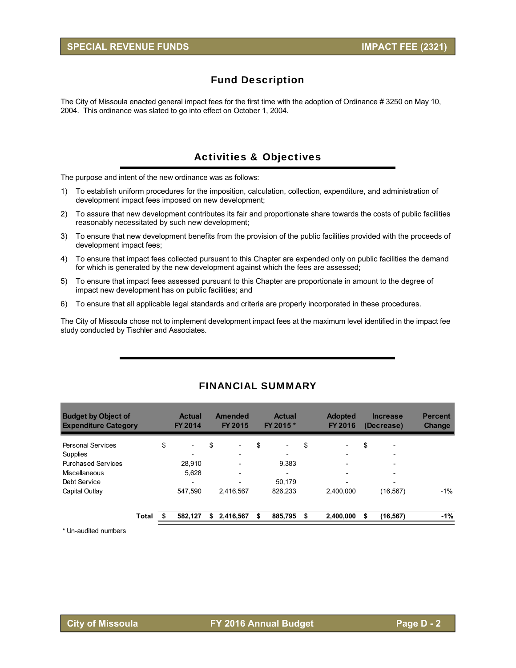The City of Missoula enacted general impact fees for the first time with the adoption of Ordinance # 3250 on May 10, 2004. This ordinance was slated to go into effect on October 1, 2004.

# Activities & Objectives

The purpose and intent of the new ordinance was as follows:

- 1) To establish uniform procedures for the imposition, calculation, collection, expenditure, and administration of development impact fees imposed on new development;
- 2) To assure that new development contributes its fair and proportionate share towards the costs of public facilities reasonably necessitated by such new development;
- 3) To ensure that new development benefits from the provision of the public facilities provided with the proceeds of development impact fees;
- 4) To ensure that impact fees collected pursuant to this Chapter are expended only on public facilities the demand for which is generated by the new development against which the fees are assessed;
- 5) To ensure that impact fees assessed pursuant to this Chapter are proportionate in amount to the degree of impact new development has on public facilities; and
- 6) To ensure that all applicable legal standards and criteria are properly incorporated in these procedures.

The City of Missoula chose not to implement development impact fees at the maximum level identified in the impact fee study conducted by Tischler and Associates.

| <b>Budget by Object of</b><br><b>Expenditure Category</b> |       | <b>Actual</b><br>FY 2014       |    | Amended<br><b>FY 2015</b> | <b>Actual</b><br>FY 2015 *     | <b>Adopted</b><br><b>FY 2016</b> | <b>Increase</b><br>(Decrease)  | <b>Percent</b><br><b>Change</b> |
|-----------------------------------------------------------|-------|--------------------------------|----|---------------------------|--------------------------------|----------------------------------|--------------------------------|---------------------------------|
| <b>Personal Services</b>                                  |       | \$<br>$\overline{\phantom{a}}$ | \$ |                           | \$<br>$\overline{\phantom{a}}$ | \$                               | \$<br>$\overline{\phantom{0}}$ |                                 |
| Supplies                                                  |       |                                |    | $\overline{\phantom{0}}$  |                                | $\overline{\phantom{0}}$         | $\overline{\phantom{0}}$       |                                 |
| <b>Purchased Services</b>                                 |       | 28.910                         |    |                           | 9,383                          |                                  |                                |                                 |
| Miscellaneous                                             |       | 5.628                          |    |                           | $\overline{\phantom{0}}$       |                                  |                                |                                 |
| Debt Service                                              |       |                                |    |                           | 50.179                         |                                  |                                |                                 |
| Capital Outlay                                            |       | 547.590                        |    | 2,416,567                 | 826.233                        | 2.400.000                        | (16, 567)                      | -1%                             |
|                                                           | Total | 582.127                        | S  | 2,416,567                 | \$<br>885,795                  | \$<br>2,400,000                  | (16, 567)                      | $-1%$                           |

# FINANCIAL SUMMARY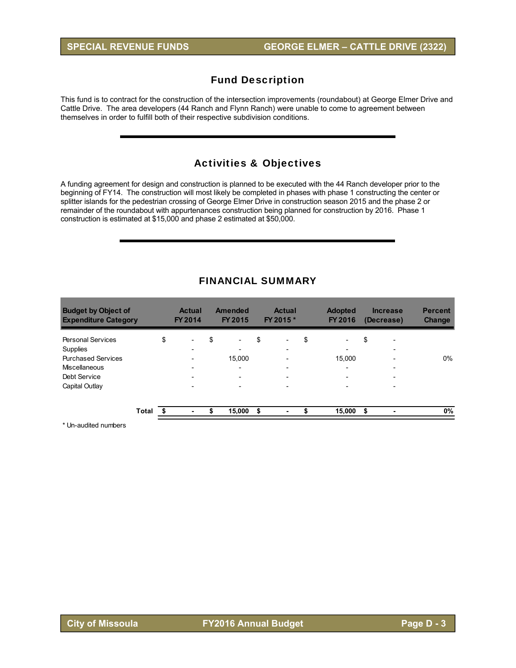This fund is to contract for the construction of the intersection improvements (roundabout) at George Elmer Drive and Cattle Drive. The area developers (44 Ranch and Flynn Ranch) were unable to come to agreement between themselves in order to fulfill both of their respective subdivision conditions.

# Activities & Objectives

A funding agreement for design and construction is planned to be executed with the 44 Ranch developer prior to the beginning of FY14. The construction will most likely be completed in phases with phase 1 constructing the center or splitter islands for the pedestrian crossing of George Elmer Drive in construction season 2015 and the phase 2 or remainder of the roundabout with appurtenances construction being planned for construction by 2016. Phase 1 construction is estimated at \$15,000 and phase 2 estimated at \$50,000.

| <b>Budget by Object of</b><br><b>Expenditure Category</b> |       | <b>Actual</b><br>FY 2014       |    | <b>Amended</b><br>FY 2015 |    | <b>Actual</b><br>FY 2015 * |    | <b>Adopted</b><br>FY 2016 | <b>Increase</b><br>(Decrease)  | <b>Percent</b><br><b>Change</b> |
|-----------------------------------------------------------|-------|--------------------------------|----|---------------------------|----|----------------------------|----|---------------------------|--------------------------------|---------------------------------|
| <b>Personal Services</b>                                  |       | \$<br>$\overline{\phantom{a}}$ | \$ | $\overline{\phantom{a}}$  | \$ | $\overline{\phantom{a}}$   | \$ | $\overline{\phantom{a}}$  | \$<br>$\overline{\phantom{0}}$ |                                 |
| Supplies                                                  |       | $\overline{\phantom{0}}$       |    | $\overline{\phantom{0}}$  |    | $\overline{\phantom{0}}$   |    | $\overline{\phantom{0}}$  | $\overline{\phantom{0}}$       |                                 |
| <b>Purchased Services</b>                                 |       | $\overline{\phantom{0}}$       |    | 15,000                    |    |                            |    | 15,000                    | $\overline{\phantom{0}}$       | 0%                              |
| Miscellaneous                                             |       |                                |    | $\overline{\phantom{0}}$  |    |                            |    | $\overline{\phantom{0}}$  |                                |                                 |
| Debt Service                                              |       |                                |    |                           |    |                            |    |                           |                                |                                 |
| Capital Outlay                                            |       |                                |    |                           |    |                            |    |                           |                                |                                 |
|                                                           |       |                                |    |                           |    |                            |    |                           |                                |                                 |
|                                                           | Total | ٠                              | S  | 15,000                    | S  | ۰                          | S  | 15,000                    | \$                             | 0%                              |

## FINANCIAL SUMMARY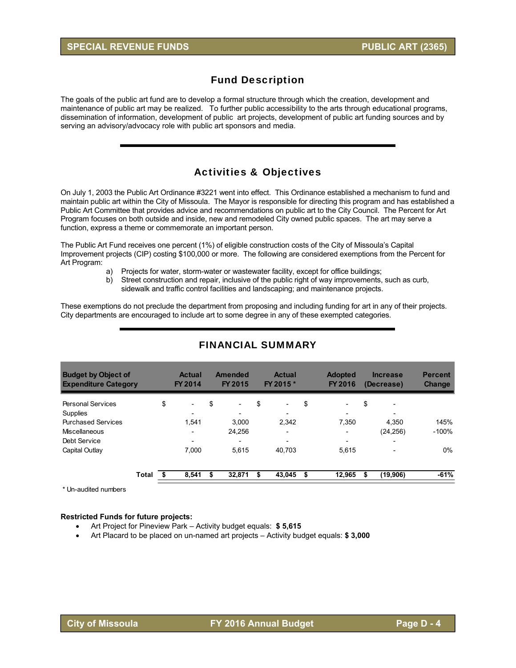The goals of the public art fund are to develop a formal structure through which the creation, development and maintenance of public art may be realized. To further public accessibility to the arts through educational programs, dissemination of information, development of public art projects, development of public art funding sources and by serving an advisory/advocacy role with public art sponsors and media.

# Activities & Objectives

On July 1, 2003 the Public Art Ordinance #3221 went into effect. This Ordinance established a mechanism to fund and maintain public art within the City of Missoula. The Mayor is responsible for directing this program and has established a Public Art Committee that provides advice and recommendations on public art to the City Council. The Percent for Art Program focuses on both outside and inside, new and remodeled City owned public spaces. The art may serve a function, express a theme or commemorate an important person.

The Public Art Fund receives one percent (1%) of eligible construction costs of the City of Missoula's Capital Improvement projects (CIP) costing \$100,000 or more. The following are considered exemptions from the Percent for Art Program:

- a) Projects for water, storm-water or wastewater facility, except for office buildings;
- b) Street construction and repair, inclusive of the public right of way improvements, such as curb, sidewalk and traffic control facilities and landscaping; and maintenance projects.

These exemptions do not preclude the department from proposing and including funding for art in any of their projects. City departments are encouraged to include art to some degree in any of these exempted categories.

| <b>Budget by Object of</b><br><b>Expenditure Category</b> |       |    | <b>Actual</b><br><b>FY 2014</b> | <b>Amended</b><br>FY 2015      | <b>Actual</b><br>FY 2015 *     | <b>Adopted</b><br><b>FY 2016</b> |    | <b>Increase</b><br>(Decrease) | <b>Percent</b><br><b>Change</b> |
|-----------------------------------------------------------|-------|----|---------------------------------|--------------------------------|--------------------------------|----------------------------------|----|-------------------------------|---------------------------------|
| <b>Personal Services</b>                                  |       | \$ | $\overline{\phantom{a}}$        | \$<br>$\overline{\phantom{0}}$ | \$<br>$\overline{\phantom{0}}$ | \$<br>$\overline{\phantom{a}}$   | \$ |                               |                                 |
| Supplies                                                  |       |    | -                               |                                |                                | $\overline{\phantom{a}}$         |    |                               |                                 |
| <b>Purchased Services</b>                                 |       |    | 1.541                           | 3.000                          | 2.342                          | 7.350                            |    | 4.350                         | 145%                            |
| Miscellaneous                                             |       |    | $\overline{\phantom{0}}$        | 24,256                         | $\overline{\phantom{0}}$       | $\overline{\phantom{a}}$         |    | (24, 256)                     | $-100%$                         |
| Debt Service                                              |       |    | $\overline{\phantom{0}}$        | -                              | $\overline{\phantom{0}}$       | $\overline{\phantom{a}}$         |    | $\overline{\phantom{0}}$      |                                 |
| Capital Outlay                                            |       |    | 7.000                           | 5.615                          | 40.703                         | 5.615                            |    |                               | $0\%$                           |
|                                                           | Total | S  | 8,541                           | \$<br>32,871                   | \$<br>43,045                   | \$<br>12.965                     | S  | (19,906)                      | $-61%$                          |

# FINANCIAL SUMMARY

\* Un-audited numbers

#### **Restricted Funds for future projects:**

- Art Project for Pineview Park Activity budget equals: **\$ 5,615**
- Art Placard to be placed on un-named art projects Activity budget equals: **\$ 3,000**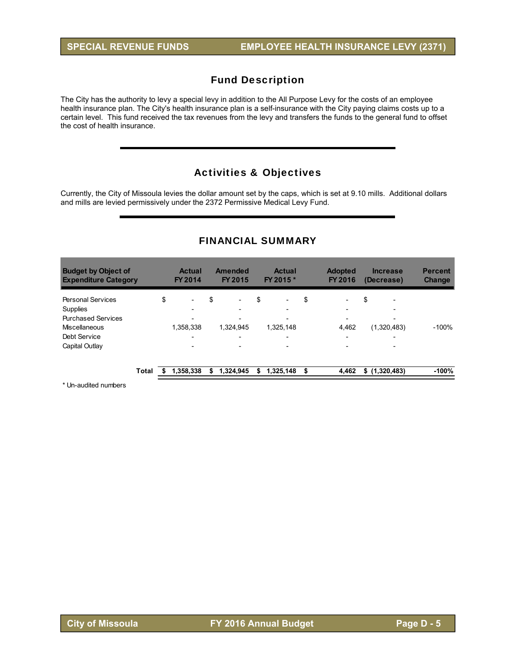The City has the authority to levy a special levy in addition to the All Purpose Levy for the costs of an employee health insurance plan. The City's health insurance plan is a self-insurance with the City paying claims costs up to a certain level. This fund received the tax revenues from the levy and transfers the funds to the general fund to offset the cost of health insurance.

# Activities & Objectives

Currently, the City of Missoula levies the dollar amount set by the caps, which is set at 9.10 mills. Additional dollars and mills are levied permissively under the 2372 Permissive Medical Levy Fund.

| <b>Budget by Object of</b><br><b>Expenditure Category</b> |              | <b>Actual</b><br>FY 2014       |    | Amended<br><b>FY 2015</b> |    | <b>Actual</b><br>FY 2015 * | <b>Adopted</b><br><b>FY 2016</b> | <b>Increase</b><br>(Decrease)  | <b>Percent</b><br><b>Change</b> |
|-----------------------------------------------------------|--------------|--------------------------------|----|---------------------------|----|----------------------------|----------------------------------|--------------------------------|---------------------------------|
| <b>Personal Services</b>                                  |              | \$<br>$\overline{\phantom{0}}$ | \$ | $\overline{\phantom{0}}$  | \$ | $\overline{\phantom{0}}$   | \$<br>$\overline{\phantom{0}}$   | \$<br>$\overline{\phantom{0}}$ |                                 |
| <b>Supplies</b>                                           |              | -                              |    |                           |    |                            | $\overline{\phantom{0}}$         |                                |                                 |
| <b>Purchased Services</b>                                 |              | $\overline{\phantom{0}}$       |    |                           |    | $\overline{\phantom{0}}$   | $\overline{\phantom{0}}$         | $\overline{\phantom{0}}$       |                                 |
| Miscellaneous                                             |              | 1,358,338                      |    | 1.324.945                 |    | 1,325,148                  | 4,462                            | (1,320,483)                    | $-100%$                         |
| Debt Service                                              |              | -                              |    |                           |    |                            | $\overline{\phantom{0}}$         |                                |                                 |
| Capital Outlay                                            |              |                                |    |                           |    |                            |                                  |                                |                                 |
|                                                           | <b>Total</b> | 1.358.338                      | S  | 1,324,945                 | S  | 1,325,148                  | \$<br>4,462                      | \$(1,320,483)                  | $-100%$                         |

## FINANCIAL SUMMARY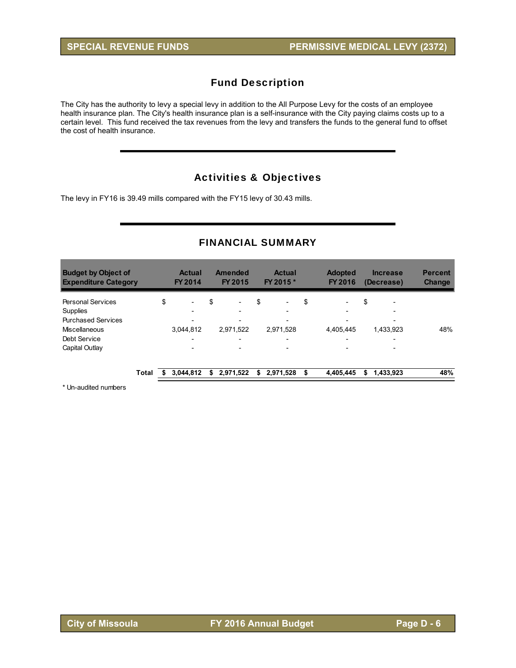The City has the authority to levy a special levy in addition to the All Purpose Levy for the costs of an employee health insurance plan. The City's health insurance plan is a self-insurance with the City paying claims costs up to a certain level. This fund received the tax revenues from the levy and transfers the funds to the general fund to offset the cost of health insurance.

# Activities & Objectives

The levy in FY16 is 39.49 mills compared with the FY15 levy of 30.43 mills.

# FINANCIAL SUMMARY

| <b>Budget by Object of</b><br><b>Expenditure Category</b> |              | <b>Actual</b><br><b>FY 2014</b> |    | Amended<br><b>FY 2015</b> | <b>Actual</b><br>FY 2015 *     |    | <b>Adopted</b><br>FY 2016 |    | <b>Increase</b><br>(Decrease) | <b>Percent</b><br><b>Change</b> |
|-----------------------------------------------------------|--------------|---------------------------------|----|---------------------------|--------------------------------|----|---------------------------|----|-------------------------------|---------------------------------|
| <b>Personal Services</b>                                  |              | \$<br>$\overline{\phantom{0}}$  | \$ | $\overline{\phantom{0}}$  | \$<br>$\overline{\phantom{a}}$ | \$ | $\overline{\phantom{0}}$  | \$ | $\overline{\phantom{a}}$      |                                 |
| Supplies                                                  |              | $\overline{\phantom{0}}$        |    | -                         |                                |    | $\overline{\phantom{0}}$  |    |                               |                                 |
| <b>Purchased Services</b>                                 |              |                                 |    |                           |                                |    |                           |    | $\overline{\phantom{0}}$      |                                 |
| Miscellaneous                                             |              | 3,044,812                       |    | 2.971.522                 | 2,971,528                      |    | 4.405.445                 |    | 1,433,923                     | 48%                             |
| Debt Service                                              |              | $\overline{\phantom{0}}$        |    | $\overline{\phantom{0}}$  |                                |    | $\overline{\phantom{0}}$  |    | $\overline{\phantom{0}}$      |                                 |
| Capital Outlay                                            |              | $\overline{\phantom{0}}$        |    | $\overline{\phantom{0}}$  | $\overline{\phantom{0}}$       |    | $\overline{\phantom{0}}$  |    | -                             |                                 |
|                                                           | <b>Total</b> | 3,044,812                       | S  | 2,971,522                 | \$<br>2,971,528                | S  | 4,405,445                 | S  | 1,433,923                     | 48%                             |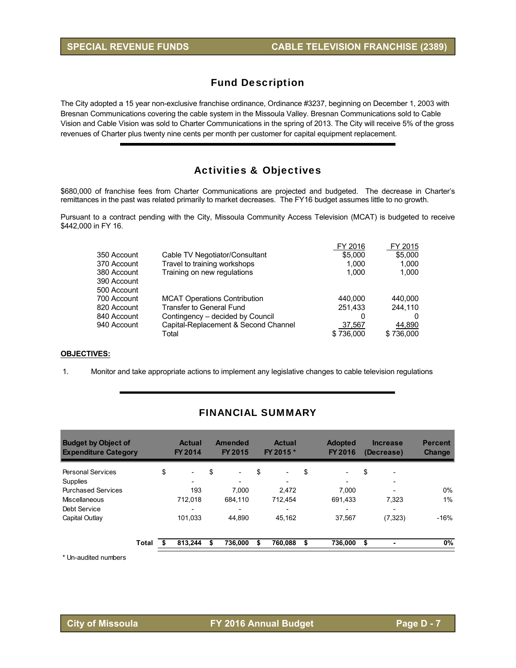The City adopted a 15 year non-exclusive franchise ordinance, Ordinance #3237, beginning on December 1, 2003 with Bresnan Communications covering the cable system in the Missoula Valley. Bresnan Communications sold to Cable Vision and Cable Vision was sold to Charter Communications in the spring of 2013. The City will receive 5% of the gross revenues of Charter plus twenty nine cents per month per customer for capital equipment replacement.

## Activities & Objectives

\$680,000 of franchise fees from Charter Communications are projected and budgeted. The decrease in Charter's remittances in the past was related primarily to market decreases. The FY16 budget assumes little to no growth.

Pursuant to a contract pending with the City, Missoula Community Access Television (MCAT) is budgeted to receive \$442,000 in FY 16.

|             |                                      | FY 2016   | FY 2015   |
|-------------|--------------------------------------|-----------|-----------|
| 350 Account | Cable TV Negotiator/Consultant       | \$5,000   | \$5,000   |
| 370 Account | Travel to training workshops         | 1.000     | 1,000     |
| 380 Account | Training on new regulations          | 1.000     | 1,000     |
| 390 Account |                                      |           |           |
| 500 Account |                                      |           |           |
| 700 Account | <b>MCAT Operations Contribution</b>  | 440.000   | 440.000   |
| 820 Account | <b>Transfer to General Fund</b>      | 251,433   | 244.110   |
| 840 Account | Contingency – decided by Council     | 0         |           |
| 940 Account | Capital-Replacement & Second Channel | 37,567    | 44,890    |
|             | Total                                | \$736,000 | \$736,000 |
|             |                                      |           |           |

#### **OBJECTIVES:**

1. Monitor and take appropriate actions to implement any legislative changes to cable television regulations

| <b>Budget by Object of</b><br><b>Expenditure Category</b> |       | <b>Actual</b><br>FY 2014       | Amended<br><b>FY 2015</b>      | <b>Actual</b><br>FY 2015 *     |    | <b>Adopted</b><br>FY 2016 | <b>Increase</b><br>(Decrease)  | <b>Percent</b><br><b>Change</b> |
|-----------------------------------------------------------|-------|--------------------------------|--------------------------------|--------------------------------|----|---------------------------|--------------------------------|---------------------------------|
| Personal Services                                         |       | \$<br>$\overline{\phantom{a}}$ | \$<br>$\overline{\phantom{a}}$ | \$<br>$\overline{\phantom{a}}$ | \$ | $\overline{\phantom{a}}$  | \$<br>$\overline{\phantom{a}}$ |                                 |
| <b>Supplies</b>                                           |       |                                |                                |                                |    | $\overline{\phantom{0}}$  |                                |                                 |
| <b>Purchased Services</b>                                 |       | 193                            | 7.000                          | 2.472                          |    | 7.000                     | $\overline{\phantom{0}}$       | 0%                              |
| Miscellaneous                                             |       | 712.018                        | 684.110                        | 712.454                        |    | 691.433                   | 7.323                          | 1%                              |
| Debt Service                                              |       | -                              | $\overline{\phantom{a}}$       | $\overline{\phantom{a}}$       |    | $\overline{\phantom{0}}$  | $\overline{\phantom{0}}$       |                                 |
| Capital Outlay                                            |       | 101.033                        | 44.890                         | 45.162                         |    | 37.567                    | (7, 323)                       | $-16%$                          |
|                                                           | Total | 813.244                        | 736.000                        | 760.088                        | S  | 736.000                   | \$                             | $0\%$                           |

## FINANCIAL SUMMARY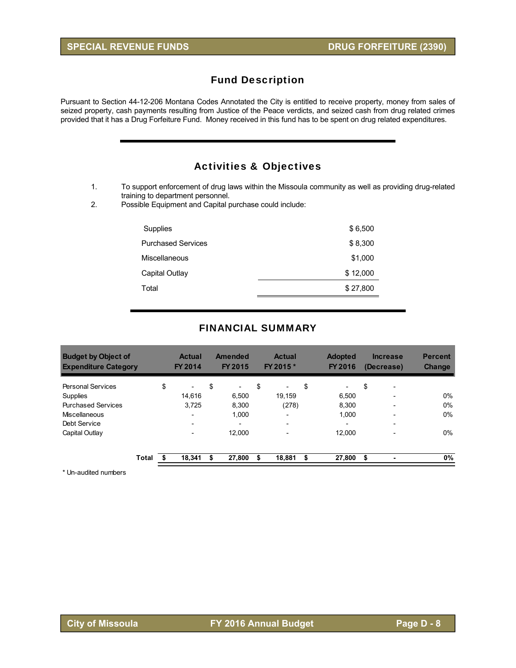Pursuant to Section 44-12-206 Montana Codes Annotated the City is entitled to receive property, money from sales of seized property, cash payments resulting from Justice of the Peace verdicts, and seized cash from drug related crimes provided that it has a Drug Forfeiture Fund. Money received in this fund has to be spent on drug related expenditures.

# Activities & Objectives

1. To support enforcement of drug laws within the Missoula community as well as providing drug-related training to department personnel.

2. Possible Equipment and Capital purchase could include:

| Supplies                  | \$6,500  |
|---------------------------|----------|
| <b>Purchased Services</b> | \$8,300  |
| Miscellaneous             | \$1,000  |
| Capital Outlay            | \$12,000 |
| Total                     | \$27,800 |
|                           |          |

#### FINANCIAL SUMMARY

| <b>Budget by Object of</b><br><b>Expenditure Category</b> |       | <b>Actual</b><br>FY 2014       |    | <b>Amended</b><br><b>FY 2015</b> | <b>Actual</b><br>FY 2015 *     | <b>Adopted</b><br>FY 2016      | <b>Increase</b><br>(Decrease)  | <b>Percent</b><br><b>Change</b> |
|-----------------------------------------------------------|-------|--------------------------------|----|----------------------------------|--------------------------------|--------------------------------|--------------------------------|---------------------------------|
| <b>Personal Services</b>                                  |       | \$<br>$\overline{\phantom{0}}$ | \$ | -                                | \$<br>$\overline{\phantom{0}}$ | \$<br>$\overline{\phantom{0}}$ | \$<br>$\overline{\phantom{0}}$ |                                 |
| Supplies                                                  |       | 14.616                         |    | 6.500                            | 19.159                         | 6.500                          |                                | 0%                              |
| <b>Purchased Services</b>                                 |       | 3,725                          |    | 8.300                            | (278)                          | 8.300                          |                                | 0%                              |
| Miscellaneous                                             |       | $\overline{\phantom{0}}$       |    | 1.000                            | $\overline{\phantom{0}}$       | 1.000                          |                                | 0%                              |
| Debt Service                                              |       | $\overline{\phantom{0}}$       |    | -                                | $\overline{\phantom{0}}$       | $\overline{\phantom{a}}$       | $\overline{\phantom{0}}$       |                                 |
| Capital Outlay                                            |       |                                |    | 12.000                           |                                | 12.000                         |                                | 0%                              |
|                                                           | Total | 18.341                         | S  | 27,800                           | \$<br>18,881                   | \$<br>27,800                   | \$                             | $0\%$                           |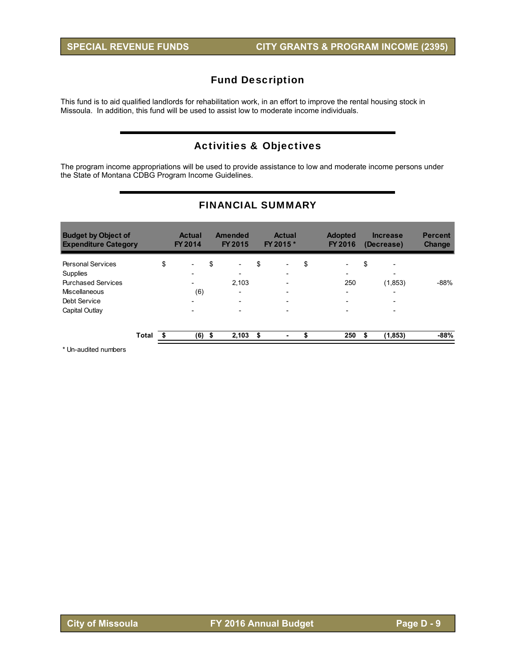This fund is to aid qualified landlords for rehabilitation work, in an effort to improve the rental housing stock in Missoula. In addition, this fund will be used to assist low to moderate income individuals.

# Activities & Objectives

The program income appropriations will be used to provide assistance to low and moderate income persons under the State of Montana CDBG Program Income Guidelines.

| <b>Budget by Object of</b><br><b>Expenditure Category</b> |       |    | <b>Actual</b><br>FY 2014                             | <b>Amended</b><br><b>FY 2015</b>  | <b>Actual</b><br>FY 2015 *     |    | <b>Adopted</b><br><b>FY 2016</b> | <b>Increase</b><br>(Decrease)        | <b>Percent</b><br><b>Change</b> |
|-----------------------------------------------------------|-------|----|------------------------------------------------------|-----------------------------------|--------------------------------|----|----------------------------------|--------------------------------------|---------------------------------|
| <b>Personal Services</b>                                  |       | \$ | $\overline{\phantom{0}}$                             | \$<br>$\overline{\phantom{a}}$    | \$<br>$\overline{\phantom{0}}$ | \$ | $\overline{\phantom{a}}$         | \$<br>$\overline{\phantom{a}}$       |                                 |
| Supplies<br><b>Purchased Services</b>                     |       |    | $\overline{\phantom{0}}$<br>$\overline{\phantom{0}}$ | $\overline{\phantom{0}}$<br>2.103 | -<br>-                         |    | $\overline{\phantom{0}}$<br>250  | $\overline{\phantom{a}}$<br>(1, 853) | $-88%$                          |
| <b>Miscellaneous</b>                                      |       |    | (6)                                                  | $\overline{\phantom{0}}$          |                                |    | $\overline{\phantom{0}}$         | $\overline{\phantom{a}}$             |                                 |
| Debt Service                                              |       |    | $\overline{\phantom{0}}$                             | $\overline{\phantom{0}}$          | $\overline{\phantom{0}}$       |    | $\overline{\phantom{a}}$         | $\overline{\phantom{0}}$             |                                 |
| Capital Outlay                                            |       |    |                                                      |                                   | -                              |    | $\overline{\phantom{0}}$         |                                      |                                 |
|                                                           | Total | S. | (6)                                                  | \$<br>2,103                       | \$<br>۰                        | S  | 250                              | (1, 853)                             | -88%                            |

# FINANCIAL SUMMARY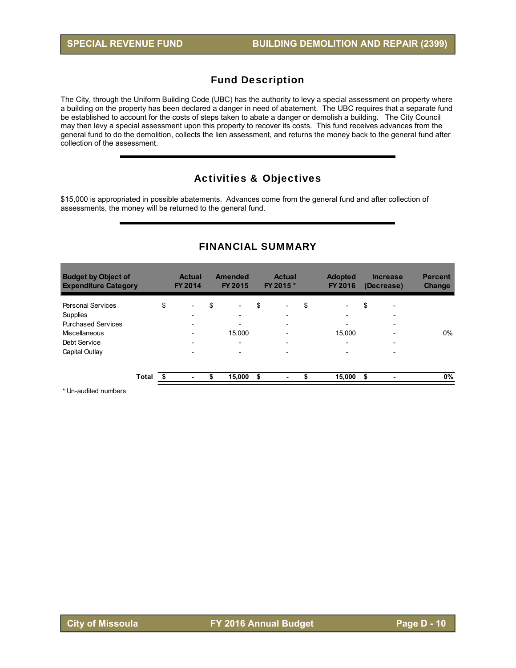The City, through the Uniform Building Code (UBC) has the authority to levy a special assessment on property where a building on the property has been declared a danger in need of abatement. The UBC requires that a separate fund be established to account for the costs of steps taken to abate a danger or demolish a building. The City Council may then levy a special assessment upon this property to recover its costs. This fund receives advances from the general fund to do the demolition, collects the lien assessment, and returns the money back to the general fund after collection of the assessment.

# Activities & Objectives

\$15,000 is appropriated in possible abatements. Advances come from the general fund and after collection of assessments, the money will be returned to the general fund.

| <b>Budget by Object of</b><br><b>Expenditure Category</b> |       | <b>Actual</b><br>FY 2014       | <b>Amended</b><br><b>FY 2015</b> | <b>Actual</b><br>FY 2015 * | <b>Adopted</b><br><b>FY 2016</b> |      | <b>Increase</b><br>(Decrease) | <b>Percent</b><br><b>Change</b> |
|-----------------------------------------------------------|-------|--------------------------------|----------------------------------|----------------------------|----------------------------------|------|-------------------------------|---------------------------------|
| <b>Personal Services</b>                                  |       | \$<br>$\overline{\phantom{0}}$ | \$<br>-                          | \$                         | \$<br>$\overline{\phantom{a}}$   | \$   | $\overline{\phantom{0}}$      |                                 |
| Supplies                                                  |       | $\overline{\phantom{0}}$       | $\overline{\phantom{0}}$         | -                          | $\overline{\phantom{0}}$         |      | $\overline{\phantom{0}}$      |                                 |
| <b>Purchased Services</b>                                 |       | $\overline{\phantom{0}}$       | $\overline{\phantom{0}}$         |                            | $\overline{\phantom{a}}$         |      | $\overline{\phantom{0}}$      |                                 |
| <b>Miscellaneous</b>                                      |       |                                | 15.000                           |                            | 15.000                           |      |                               | 0%                              |
| Debt Service                                              |       | $\overline{\phantom{0}}$       | $\overline{\phantom{0}}$         | $\overline{\phantom{0}}$   | $\overline{\phantom{0}}$         |      | $\overline{\phantom{0}}$      |                                 |
| Capital Outlay                                            |       | $\overline{\phantom{0}}$       | $\overline{\phantom{0}}$         |                            | $\overline{\phantom{a}}$         |      | $\overline{\phantom{0}}$      |                                 |
|                                                           | Total | ۰                              | \$<br>15,000                     | \$<br>۰                    | 15,000                           | - \$ |                               | 0%                              |

## FINANCIAL SUMMARY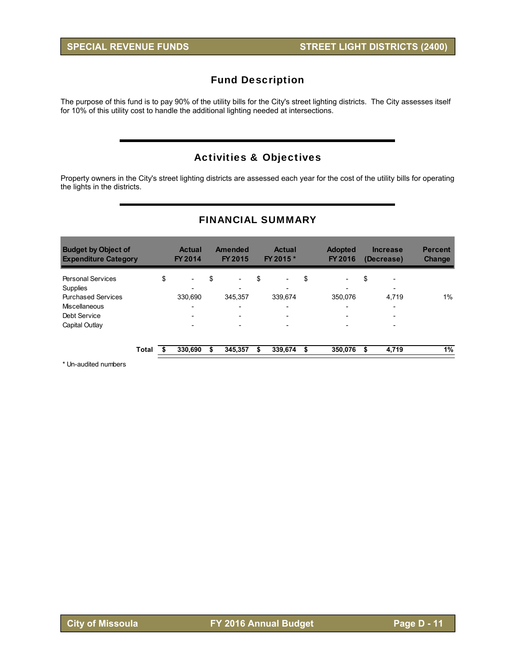The purpose of this fund is to pay 90% of the utility bills for the City's street lighting districts. The City assesses itself for 10% of this utility cost to handle the additional lighting needed at intersections.

# Activities & Objectives

Property owners in the City's street lighting districts are assessed each year for the cost of the utility bills for operating the lights in the districts.

| <b>Budget by Object of</b><br><b>Expenditure Category</b> |       | <b>Actual</b><br><b>FY 2014</b> |    | <b>Amended</b><br>FY 2015 | <b>Actual</b><br>FY 2015 *     | <b>Adopted</b><br>FY 2016      |    | <b>Increase</b><br>(Decrease) | <b>Percent</b><br><b>Change</b> |
|-----------------------------------------------------------|-------|---------------------------------|----|---------------------------|--------------------------------|--------------------------------|----|-------------------------------|---------------------------------|
| <b>Personal Services</b>                                  |       | \$<br>$\overline{\phantom{a}}$  | \$ | $\overline{\phantom{a}}$  | \$<br>$\overline{\phantom{0}}$ | \$<br>$\overline{\phantom{a}}$ | \$ | $\overline{\phantom{a}}$      |                                 |
| Supplies                                                  |       |                                 |    |                           |                                | $\overline{\phantom{0}}$       |    |                               |                                 |
| <b>Purchased Services</b>                                 |       | 330.690                         |    | 345.357                   | 339.674                        | 350.076                        |    | 4,719                         | 1%                              |
| Miscellaneous                                             |       | $\overline{\phantom{0}}$        |    | $\overline{\phantom{0}}$  | -                              | $\overline{\phantom{0}}$       |    |                               |                                 |
| Debt Service                                              |       | $\overline{\phantom{a}}$        |    | $\overline{\phantom{0}}$  | $\overline{\phantom{a}}$       | $\overline{\phantom{0}}$       |    | $\overline{\phantom{0}}$      |                                 |
| Capital Outlay                                            |       | $\overline{\phantom{a}}$        |    | $\overline{\phantom{0}}$  | -                              | $\overline{\phantom{0}}$       |    | $\overline{\phantom{0}}$      |                                 |
|                                                           | Total | 330.690                         | S  | 345.357                   | 339,674                        | \$<br>350.076                  | S  | 4,719                         | 1%                              |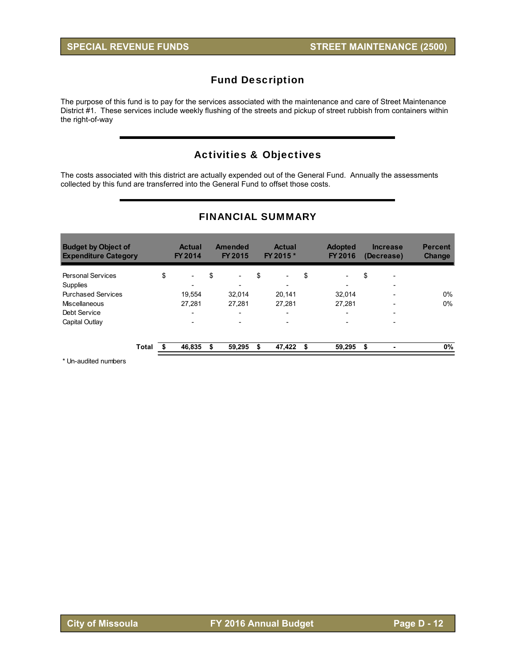The purpose of this fund is to pay for the services associated with the maintenance and care of Street Maintenance District #1. These services include weekly flushing of the streets and pickup of street rubbish from containers within the right-of-way

# Activities & Objectives

The costs associated with this district are actually expended out of the General Fund. Annually the assessments collected by this fund are transferred into the General Fund to offset those costs.

| <b>Budget by Object of</b><br><b>Expenditure Category</b> |       | <b>Actual</b><br><b>FY 2014</b> | <b>Amended</b><br><b>FY 2015</b> | <b>Actual</b><br>FY 2015 *     | <b>Adopted</b><br>FY 2016      | <b>Increase</b><br>(Decrease) | <b>Percent</b><br><b>Change</b> |
|-----------------------------------------------------------|-------|---------------------------------|----------------------------------|--------------------------------|--------------------------------|-------------------------------|---------------------------------|
| <b>Personal Services</b>                                  |       | \$<br>$\overline{\phantom{a}}$  | \$<br>$\overline{\phantom{0}}$   | \$<br>$\overline{\phantom{a}}$ | \$<br>$\overline{\phantom{0}}$ | \$<br>$\overline{a}$          |                                 |
| <b>Supplies</b>                                           |       | $\overline{\phantom{0}}$        |                                  | $\overline{\phantom{a}}$       | $\overline{\phantom{0}}$       |                               |                                 |
| <b>Purchased Services</b>                                 |       | 19.554                          | 32.014                           | 20,141                         | 32.014                         | -                             | $0\%$                           |
| Miscellaneous                                             |       | 27.281                          | 27.281                           | 27.281                         | 27.281                         |                               | $0\%$                           |
| Debt Service                                              |       | $\overline{\phantom{a}}$        | $\overline{\phantom{a}}$         | $\overline{\phantom{a}}$       | -                              | $\overline{\phantom{0}}$      |                                 |
| Capital Outlay                                            |       |                                 |                                  |                                |                                |                               |                                 |
|                                                           | Total | 46,835                          | 59,295                           | 47,422                         | \$<br>59,295                   | \$                            | 0%                              |

## FINANCIAL SUMMARY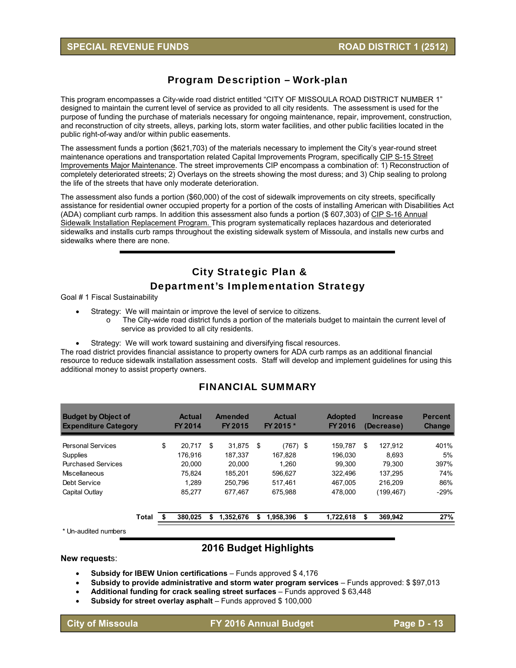# Program Description – Work-plan

This program encompasses a City-wide road district entitled "CITY OF MISSOULA ROAD DISTRICT NUMBER 1" designed to maintain the current level of service as provided to all city residents. The assessment is used for the purpose of funding the purchase of materials necessary for ongoing maintenance, repair, improvement, construction, and reconstruction of city streets, alleys, parking lots, storm water facilities, and other public facilities located in the public right-of-way and/or within public easements.

The assessment funds a portion (\$621,703) of the materials necessary to implement the City's year-round street maintenance operations and transportation related Capital Improvements Program, specifically CIP S-15 Street Improvements Major Maintenance. The street improvements CIP encompass a combination of: 1) Reconstruction of completely deteriorated streets; 2) Overlays on the streets showing the most duress; and 3) Chip sealing to prolong the life of the streets that have only moderate deterioration.

The assessment also funds a portion (\$60,000) of the cost of sidewalk improvements on city streets, specifically assistance for residential owner occupied property for a portion of the costs of installing American with Disabilities Act (ADA) compliant curb ramps. In addition this assessment also funds a portion (\$ 607,303) of CIP S-16 Annual Sidewalk Installation Replacement Program. This program systematically replaces hazardous and deteriorated sidewalks and installs curb ramps throughout the existing sidewalk system of Missoula, and installs new curbs and sidewalks where there are none.

# City Strategic Plan & Department's Implementation Strategy

Goal # 1 Fiscal Sustainability

- Strategy: We will maintain or improve the level of service to citizens.
	- o The City-wide road district funds a portion of the materials budget to maintain the current level of service as provided to all city residents.
- Strategy: We will work toward sustaining and diversifying fiscal resources.

The road district provides financial assistance to property owners for ADA curb ramps as an additional financial resource to reduce sidewalk installation assessment costs. Staff will develop and implement guidelines for using this additional money to assist property owners.

#### FINANCIAL SUMMARY

| <b>Budget by Object of</b><br><b>Expenditure Category</b> |       |    | <b>Actual</b><br>FY 2014 |    | <b>Amended</b><br>FY 2015 | <b>Actual</b><br>FY 2015 * | <b>Adopted</b><br><b>FY 2016</b> | <b>Increase</b><br>(Decrease) | <b>Percent</b><br>Change |
|-----------------------------------------------------------|-------|----|--------------------------|----|---------------------------|----------------------------|----------------------------------|-------------------------------|--------------------------|
| <b>Personal Services</b>                                  |       | \$ | 20.717                   | \$ | 31.875                    | \$<br>(767) \$             | 159.787                          | \$<br>127.912                 | 401%                     |
| Supplies                                                  |       |    | 176.916                  |    | 187.337                   | 167.828                    | 196.030                          | 8.693                         | 5%                       |
| <b>Purchased Services</b>                                 |       |    | 20.000                   |    | 20.000                    | 1.260                      | 99.300                           | 79.300                        | 397%                     |
| <b>Miscellaneous</b>                                      |       |    | 75.824                   |    | 185.201                   | 596.627                    | 322.496                          | 137.295                       | 74%                      |
| Debt Service                                              |       |    | 1.289                    |    | 250.796                   | 517.461                    | 467.005                          | 216.209                       | 86%                      |
| Capital Outlay                                            |       |    | 85.277                   |    | 677.467                   | 675.988                    | 478,000                          | (199, 467)                    | $-29%$                   |
|                                                           | Total | S  | 380.025                  | S  | 1,352,676                 | \$<br>1,958,396            | \$<br>1,722,618                  | \$<br>369.942                 | 27%                      |
| $*$ Lin qudited pumbers                                   |       |    |                          |    |                           |                            |                                  |                               |                          |

Un-audited numbers

## **2016 Budget Highlights**

#### **New request**s:

- **Subsidy for IBEW Union certifications** Funds approved \$4,176
- **Subsidy to provide administrative and storm water program services**  Funds approved: \$ \$97,013
- **Additional funding for crack sealing street surfaces** Funds approved \$ 63,448
- **Subsidy for street overlay asphalt** Funds approved \$ 100,000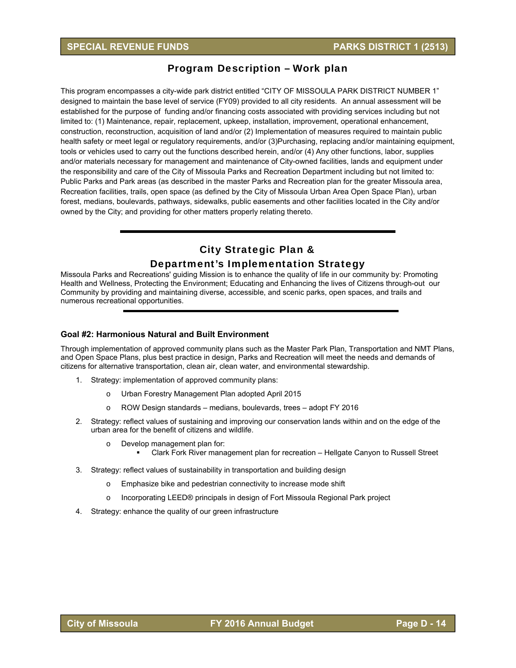## Program Description – Work plan

This program encompasses a city-wide park district entitled "CITY OF MISSOULA PARK DISTRICT NUMBER 1" designed to maintain the base level of service (FY09) provided to all city residents. An annual assessment will be established for the purpose of funding and/or financing costs associated with providing services including but not limited to: (1) Maintenance, repair, replacement, upkeep, installation, improvement, operational enhancement, construction, reconstruction, acquisition of land and/or (2) Implementation of measures required to maintain public health safety or meet legal or regulatory requirements, and/or (3)Purchasing, replacing and/or maintaining equipment, tools or vehicles used to carry out the functions described herein, and/or (4) Any other functions, labor, supplies and/or materials necessary for management and maintenance of City-owned facilities, lands and equipment under the responsibility and care of the City of Missoula Parks and Recreation Department including but not limited to: Public Parks and Park areas (as described in the master Parks and Recreation plan for the greater Missoula area, Recreation facilities, trails, open space (as defined by the City of Missoula Urban Area Open Space Plan), urban forest, medians, boulevards, pathways, sidewalks, public easements and other facilities located in the City and/or owned by the City; and providing for other matters properly relating thereto.

# City Strategic Plan & Department's Implementation Strategy

Missoula Parks and Recreations' guiding Mission is to enhance the quality of life in our community by: Promoting Health and Wellness, Protecting the Environment; Educating and Enhancing the lives of Citizens through-out our Community by providing and maintaining diverse, accessible, and scenic parks, open spaces, and trails and numerous recreational opportunities.

#### **Goal #2: Harmonious Natural and Built Environment**

Through implementation of approved community plans such as the Master Park Plan, Transportation and NMT Plans, and Open Space Plans, plus best practice in design, Parks and Recreation will meet the needs and demands of citizens for alternative transportation, clean air, clean water, and environmental stewardship.

- 1. Strategy: implementation of approved community plans:
	- o Urban Forestry Management Plan adopted April 2015
	- o ROW Design standards medians, boulevards, trees adopt FY 2016
- 2. Strategy: reflect values of sustaining and improving our conservation lands within and on the edge of the urban area for the benefit of citizens and wildlife.
	- o Develop management plan for:
		- Clark Fork River management plan for recreation Hellgate Canyon to Russell Street
- 3. Strategy: reflect values of sustainability in transportation and building design
	- o Emphasize bike and pedestrian connectivity to increase mode shift
	- o Incorporating LEED® principals in design of Fort Missoula Regional Park project
- 4. Strategy: enhance the quality of our green infrastructure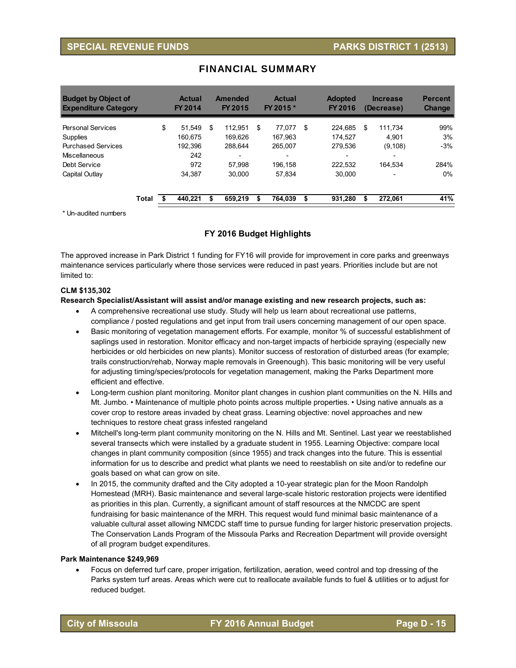## **SPECIAL REVENUE FUNDS PARKS DISTRICT 1 (2513)**

| <b>Budget by Object of</b><br><b>Expenditure Category</b> |       | <b>Actual</b><br><b>FY 2014</b> | Amended<br><b>FY 2015</b> | <b>Actual</b><br>FY 2015 * | <b>Adopted</b><br><b>FY 2016</b> | <b>Increase</b><br>(Decrease) | <b>Percent</b><br><b>Change</b> |
|-----------------------------------------------------------|-------|---------------------------------|---------------------------|----------------------------|----------------------------------|-------------------------------|---------------------------------|
| <b>Personal Services</b>                                  |       | \$<br>51.549                    | \$<br>112.951             | \$<br>77.077               | \$<br>224.685                    | \$<br>111.734                 | 99%                             |
| <b>Supplies</b>                                           |       | 160.675                         | 169.626                   | 167.963                    | 174.527                          | 4.901                         | 3%                              |
| <b>Purchased Services</b>                                 |       | 192.396                         | 288.644                   | 265.007                    | 279.536                          | (9, 108)                      | $-3%$                           |
| Miscellaneous                                             |       | 242                             |                           |                            | $\overline{\phantom{0}}$         |                               |                                 |
| Debt Service                                              |       | 972                             | 57.998                    | 196.158                    | 222,532                          | 164.534                       | 284%                            |
| Capital Outlay                                            |       | 34.387                          | 30.000                    | 57.834                     | 30.000                           |                               | $0\%$                           |
|                                                           | Total | 440.221                         | 659.219                   | 764.039                    | 931.280                          | 272.061                       | 41%                             |

## FINANCIAL SUMMARY

\* Un-audited numbers

#### **FY 2016 Budget Highlights**

The approved increase in Park District 1 funding for FY16 will provide for improvement in core parks and greenways maintenance services particularly where those services were reduced in past years. Priorities include but are not limited to:

#### **CLM \$135,302**

#### **Research Specialist/Assistant will assist and/or manage existing and new research projects, such as:**

- A comprehensive recreational use study. Study will help us learn about recreational use patterns, compliance / posted regulations and get input from trail users concerning management of our open space.
- Basic monitoring of vegetation management efforts. For example, monitor % of successful establishment of saplings used in restoration. Monitor efficacy and non-target impacts of herbicide spraying (especially new herbicides or old herbicides on new plants). Monitor success of restoration of disturbed areas (for example; trails construction/rehab, Norway maple removals in Greenough). This basic monitoring will be very useful for adjusting timing/species/protocols for vegetation management, making the Parks Department more efficient and effective.
- Long-term cushion plant monitoring. Monitor plant changes in cushion plant communities on the N. Hills and Mt. Jumbo. • Maintenance of multiple photo points across multiple properties. • Using native annuals as a cover crop to restore areas invaded by cheat grass. Learning objective: novel approaches and new techniques to restore cheat grass infested rangeland
- Mitchell's long-term plant community monitoring on the N. Hills and Mt. Sentinel. Last year we reestablished several transects which were installed by a graduate student in 1955. Learning Objective: compare local changes in plant community composition (since 1955) and track changes into the future. This is essential information for us to describe and predict what plants we need to reestablish on site and/or to redefine our goals based on what can grow on site.
- In 2015, the community drafted and the City adopted a 10-year strategic plan for the Moon Randolph Homestead (MRH). Basic maintenance and several large-scale historic restoration projects were identified as priorities in this plan. Currently, a significant amount of staff resources at the NMCDC are spent fundraising for basic maintenance of the MRH. This request would fund minimal basic maintenance of a valuable cultural asset allowing NMCDC staff time to pursue funding for larger historic preservation projects. The Conservation Lands Program of the Missoula Parks and Recreation Department will provide oversight of all program budget expenditures.

#### **Park Maintenance \$249,969**

 Focus on deferred turf care, proper irrigation, fertilization, aeration, weed control and top dressing of the Parks system turf areas. Areas which were cut to reallocate available funds to fuel & utilities or to adjust for reduced budget.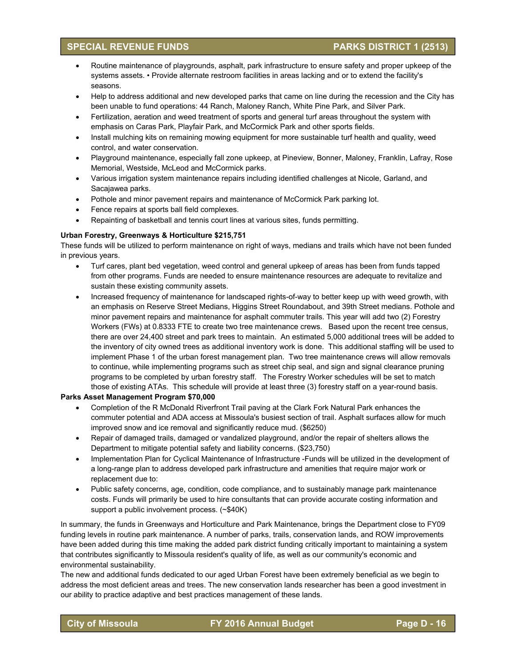## **SPECIAL REVENUE FUNDS PARKS DISTRICT 1 (2513)**

- Routine maintenance of playgrounds, asphalt, park infrastructure to ensure safety and proper upkeep of the systems assets. • Provide alternate restroom facilities in areas lacking and or to extend the facility's seasons.
- Help to address additional and new developed parks that came on line during the recession and the City has been unable to fund operations: 44 Ranch, Maloney Ranch, White Pine Park, and Silver Park.
- Fertilization, aeration and weed treatment of sports and general turf areas throughout the system with emphasis on Caras Park, Playfair Park, and McCormick Park and other sports fields.
- Install mulching kits on remaining mowing equipment for more sustainable turf health and quality, weed control, and water conservation.
- Playground maintenance, especially fall zone upkeep, at Pineview, Bonner, Maloney, Franklin, Lafray, Rose Memorial, Westside, McLeod and McCormick parks.
- Various irrigation system maintenance repairs including identified challenges at Nicole, Garland, and Sacajawea parks.
- Pothole and minor pavement repairs and maintenance of McCormick Park parking lot.
- Fence repairs at sports ball field complexes.
- Repainting of basketball and tennis court lines at various sites, funds permitting.

#### **Urban Forestry, Greenways & Horticulture \$215,751**

These funds will be utilized to perform maintenance on right of ways, medians and trails which have not been funded in previous years.

- Turf cares, plant bed vegetation, weed control and general upkeep of areas has been from funds tapped from other programs. Funds are needed to ensure maintenance resources are adequate to revitalize and sustain these existing community assets.
- Increased frequency of maintenance for landscaped rights-of-way to better keep up with weed growth, with an emphasis on Reserve Street Medians, Higgins Street Roundabout, and 39th Street medians. Pothole and minor pavement repairs and maintenance for asphalt commuter trails. This year will add two (2) Forestry Workers (FWs) at 0.8333 FTE to create two tree maintenance crews. Based upon the recent tree census, there are over 24,400 street and park trees to maintain. An estimated 5,000 additional trees will be added to the inventory of city owned trees as additional inventory work is done. This additional staffing will be used to implement Phase 1 of the urban forest management plan. Two tree maintenance crews will allow removals to continue, while implementing programs such as street chip seal, and sign and signal clearance pruning programs to be completed by urban forestry staff. The Forestry Worker schedules will be set to match those of existing ATAs. This schedule will provide at least three (3) forestry staff on a year-round basis.

#### **Parks Asset Management Program \$70,000**

- Completion of the R McDonald Riverfront Trail paving at the Clark Fork Natural Park enhances the commuter potential and ADA access at Missoula's busiest section of trail. Asphalt surfaces allow for much improved snow and ice removal and significantly reduce mud. (\$6250)
- Repair of damaged trails, damaged or vandalized playground, and/or the repair of shelters allows the Department to mitigate potential safety and liability concerns. (\$23,750)
- Implementation Plan for Cyclical Maintenance of Infrastructure -Funds will be utilized in the development of a long-range plan to address developed park infrastructure and amenities that require major work or replacement due to:
- Public safety concerns, age, condition, code compliance, and to sustainably manage park maintenance costs. Funds will primarily be used to hire consultants that can provide accurate costing information and support a public involvement process. (~\$40K)

In summary, the funds in Greenways and Horticulture and Park Maintenance, brings the Department close to FY09 funding levels in routine park maintenance. A number of parks, trails, conservation lands, and ROW improvements have been added during this time making the added park district funding critically important to maintaining a system that contributes significantly to Missoula resident's quality of life, as well as our community's economic and environmental sustainability.

The new and additional funds dedicated to our aged Urban Forest have been extremely beneficial as we begin to address the most deficient areas and trees. The new conservation lands researcher has been a good investment in our ability to practice adaptive and best practices management of these lands.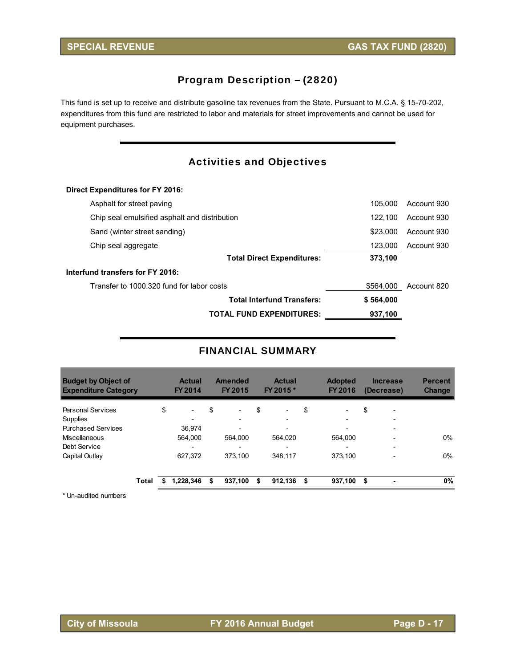# Program Description – (2820)

This fund is set up to receive and distribute gasoline tax revenues from the State. Pursuant to M.C.A. § 15-70-202, expenditures from this fund are restricted to labor and materials for street improvements and cannot be used for equipment purchases.

# Activities and Objectives

#### **Direct Expenditures for FY 2016:**

| <b>TOTAL FUND EXPENDITURES:</b>               | 937,100   |             |
|-----------------------------------------------|-----------|-------------|
| <b>Total Interfund Transfers:</b>             | \$564,000 |             |
| Transfer to 1000,320 fund for labor costs     | \$564,000 | Account 820 |
| Interfund transfers for FY 2016:              |           |             |
| <b>Total Direct Expenditures:</b>             | 373.100   |             |
| Chip seal aggregate                           | 123.000   | Account 930 |
| Sand (winter street sanding)                  | \$23,000  | Account 930 |
| Chip seal emulsified asphalt and distribution | 122.100   | Account 930 |
| Asphalt for street paving                     | 105.000   | Account 930 |

## FINANCIAL SUMMARY

| <b>Actual</b><br>FY 2014       | <b>FY 2015</b>           |                | <b>Actual</b>            |           | <b>Adopted</b><br>FY 2016 |     |                          | <b>Percent</b><br><b>Change</b> |
|--------------------------------|--------------------------|----------------|--------------------------|-----------|---------------------------|-----|--------------------------|---------------------------------|
| \$<br>$\overline{\phantom{a}}$ | \$<br>-                  | \$             | $\overline{\phantom{a}}$ | \$        | $\overline{\phantom{a}}$  | \$  | $\overline{\phantom{0}}$ |                                 |
| $\overline{\phantom{0}}$       | $\overline{\phantom{0}}$ |                |                          |           | $\overline{\phantom{a}}$  |     |                          |                                 |
| 36.974                         |                          |                |                          |           |                           |     |                          |                                 |
| 564.000                        | 564.000                  |                | 564.020                  |           | 564.000                   |     |                          | 0%                              |
|                                | -                        |                |                          |           | $\overline{\phantom{0}}$  |     |                          |                                 |
| 627,372                        | 373.100                  |                | 348.117                  |           | 373.100                   |     |                          | 0%                              |
| 1.228.346                      | \$<br>937.100            | \$             | 912.136                  | \$        | 937,100                   | -\$ |                          | 0%                              |
|                                |                          | <b>Amended</b> |                          | FY 2015 * |                           |     |                          | <b>Increase</b><br>(Decrease)   |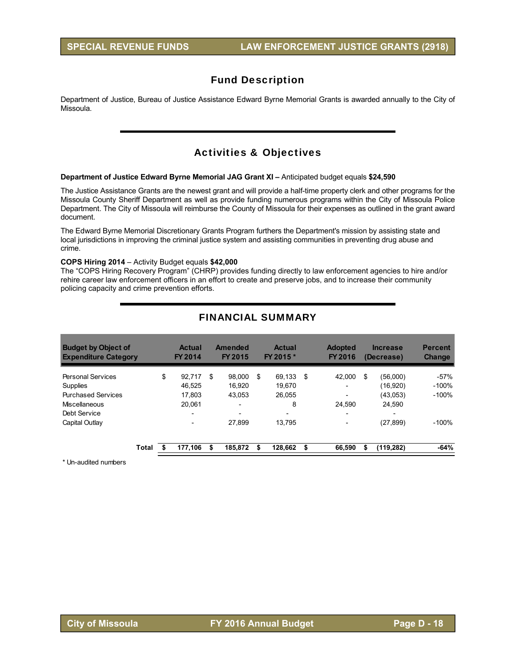Department of Justice, Bureau of Justice Assistance Edward Byrne Memorial Grants is awarded annually to the City of Missoula.

# Activities & Objectives

#### **Department of Justice Edward Byrne Memorial JAG Grant XI –** Anticipated budget equals **\$24,590**

The Justice Assistance Grants are the newest grant and will provide a half-time property clerk and other programs for the Missoula County Sheriff Department as well as provide funding numerous programs within the City of Missoula Police Department. The City of Missoula will reimburse the County of Missoula for their expenses as outlined in the grant award document.

The Edward Byrne Memorial Discretionary Grants Program furthers the Department's mission by assisting state and local jurisdictions in improving the criminal justice system and assisting communities in preventing drug abuse and crime.

#### **COPS Hiring 2014** – Activity Budget equals **\$42,000**

The "COPS Hiring Recovery Program" (CHRP) provides funding directly to law enforcement agencies to hire and/or rehire career law enforcement officers in an effort to create and preserve jobs, and to increase their community policing capacity and crime prevention efforts.

| <b>Budget by Object of</b><br><b>Expenditure Category</b> | <b>Actual</b><br>FY 2014 | Amended<br><b>FY 2015</b> | <b>Actual</b><br>FY 2015 * |     | <b>Adopted</b><br><b>FY 2016</b> |   | <b>Increase</b><br>(Decrease) | <b>Percent</b><br><b>Change</b> |
|-----------------------------------------------------------|--------------------------|---------------------------|----------------------------|-----|----------------------------------|---|-------------------------------|---------------------------------|
| <b>Personal Services</b>                                  | \$<br>92.717             | \$<br>98.000              | \$<br>69.133               | -\$ | 42.000                           | S | (56,000)                      | $-57%$                          |
| Supplies                                                  | 46.525                   | 16.920                    | 19.670                     |     | -                                |   | (16,920)                      | $-100\%$                        |
| <b>Purchased Services</b>                                 | 17.803                   | 43.053                    | 26.055                     |     | $\overline{\phantom{0}}$         |   | (43,053)                      | $-100%$                         |
| Miscellaneous                                             | 20.061                   | $\overline{\phantom{0}}$  | 8                          |     | 24.590                           |   | 24.590                        |                                 |
| Debt Service                                              | $\overline{\phantom{a}}$ | $\overline{\phantom{0}}$  | -                          |     | $\overline{\phantom{a}}$         |   | $\overline{\phantom{0}}$      |                                 |
| Capital Outlay                                            |                          | 27.899                    | 13.795                     |     | $\overline{\phantom{0}}$         |   | (27, 899)                     | $-100%$                         |
| Total                                                     | 177,106                  | 185,872                   | \$<br>128,662              | \$  | 66.590                           |   | (119, 282)                    | $-64%$                          |

## FINANCIAL SUMMARY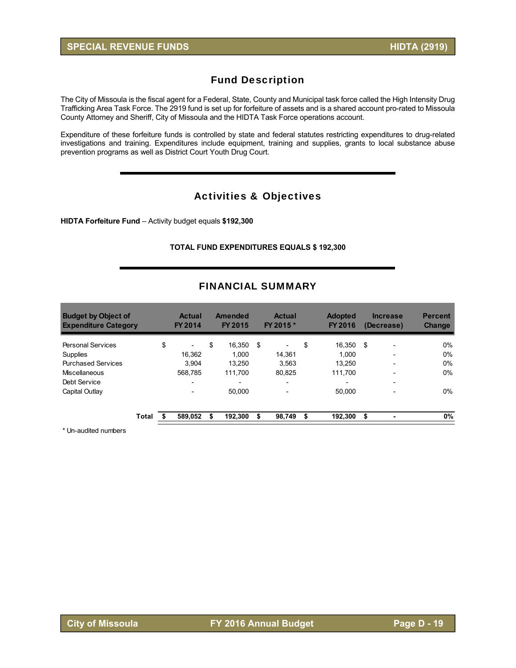The City of Missoula is the fiscal agent for a Federal, State, County and Municipal task force called the High Intensity Drug Trafficking Area Task Force. The 2919 fund is set up for forfeiture of assets and is a shared account pro-rated to Missoula County Attorney and Sheriff, City of Missoula and the HIDTA Task Force operations account.

Expenditure of these forfeiture funds is controlled by state and federal statutes restricting expenditures to drug-related investigations and training. Expenditures include equipment, training and supplies, grants to local substance abuse prevention programs as well as District Court Youth Drug Court.

## Activities & Objectives

**HIDTA Forfeiture Fund** – Activity budget equals **\$192,300** 

#### **TOTAL FUND EXPENDITURES EQUALS \$ 192,300**

| <b>Budget by Object of</b><br><b>Expenditure Category</b> |       | <b>Actual</b><br>FY 2014       |    | Amended<br>FY 2015 | <b>Actual</b><br>FY 2015 * | <b>Adopted</b><br>FY 2016 |      | <b>Increase</b><br>(Decrease) | <b>Percent</b><br><b>Change</b> |
|-----------------------------------------------------------|-------|--------------------------------|----|--------------------|----------------------------|---------------------------|------|-------------------------------|---------------------------------|
| <b>Personal Services</b>                                  |       | \$<br>$\overline{\phantom{0}}$ | \$ | 16,350             | \$                         | \$<br>16.350              | - \$ | $\overline{\phantom{0}}$      | $0\%$                           |
| Supplies                                                  |       | 16.362                         |    | 1.000              | 14.361                     | 1.000                     |      | $\overline{\phantom{0}}$      | $0\%$                           |
| <b>Purchased Services</b>                                 |       | 3.904                          |    | 13.250             | 3.563                      | 13.250                    |      | $\overline{\phantom{0}}$      | $0\%$                           |
| Miscellaneous                                             |       | 568.785                        |    | 111.700            | 80.825                     | 111.700                   |      |                               | $0\%$                           |
| Debt Service                                              |       | $\overline{\phantom{0}}$       |    |                    | $\overline{\phantom{0}}$   | $\overline{\phantom{0}}$  |      |                               |                                 |
| Capital Outlay                                            |       | $\overline{\phantom{0}}$       |    | 50.000             |                            | 50,000                    |      |                               | $0\%$                           |
|                                                           | Total | 589,052                        | S  | 192.300            | 98.749                     | 192.300                   | \$   |                               | 0%                              |

#### FINANCIAL SUMMARY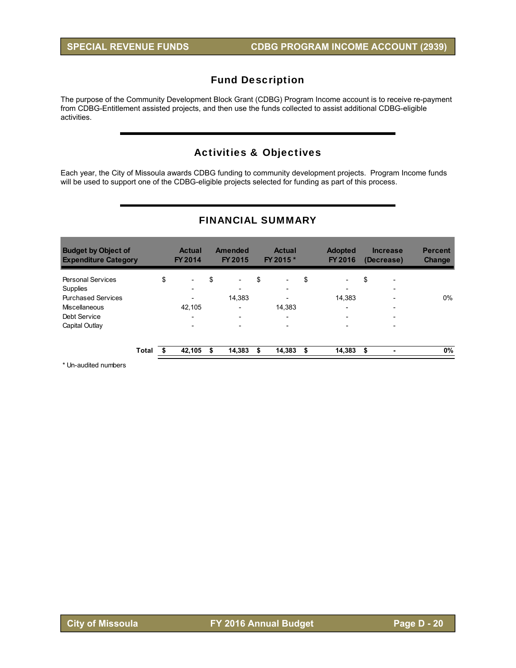The purpose of the Community Development Block Grant (CDBG) Program Income account is to receive re-payment from CDBG-Entitlement assisted projects, and then use the funds collected to assist additional CDBG-eligible activities.

# Activities & Objectives

Each year, the City of Missoula awards CDBG funding to community development projects. Program Income funds will be used to support one of the CDBG-eligible projects selected for funding as part of this process.

| <b>Budget by Object of</b><br><b>Expenditure Category</b> |       | <b>Actual</b><br>FY 2014       | <b>Amended</b><br><b>FY 2015</b> |    | <b>Actual</b><br>FY 2015 * |     | <b>Adopted</b><br>FY 2016 | <b>Increase</b><br>(Decrease)  | <b>Percent</b><br><b>Change</b> |
|-----------------------------------------------------------|-------|--------------------------------|----------------------------------|----|----------------------------|-----|---------------------------|--------------------------------|---------------------------------|
| <b>Personal Services</b>                                  |       | \$<br>$\overline{\phantom{a}}$ | \$<br>$\overline{\phantom{a}}$   | \$ | $\overline{\phantom{0}}$   | \$  | -                         | \$<br>$\overline{\phantom{0}}$ |                                 |
| Supplies                                                  |       |                                |                                  |    | $\overline{\phantom{a}}$   |     | $\overline{\phantom{0}}$  | $\overline{\phantom{0}}$       |                                 |
| <b>Purchased Services</b>                                 |       |                                | 14,383                           |    | $\overline{\phantom{a}}$   |     | 14.383                    | $\overline{\phantom{0}}$       | 0%                              |
| Miscellaneous                                             |       | 42.105                         | $\overline{\phantom{0}}$         |    | 14.383                     |     | $\overline{\phantom{a}}$  | $\overline{\phantom{0}}$       |                                 |
| Debt Service                                              |       | $\overline{\phantom{0}}$       | -                                |    | $\overline{\phantom{a}}$   |     | $\overline{\phantom{0}}$  | $\overline{\phantom{0}}$       |                                 |
| Capital Outlay                                            |       | $\overline{\phantom{0}}$       | $\overline{\phantom{0}}$         |    | $\overline{\phantom{a}}$   |     | $\overline{\phantom{a}}$  | $\overline{\phantom{0}}$       |                                 |
|                                                           | Total | 42,105                         | \$<br>14,383                     | S  | 14,383                     | \$. | 14,383                    | \$                             | 0%                              |

## FINANCIAL SUMMARY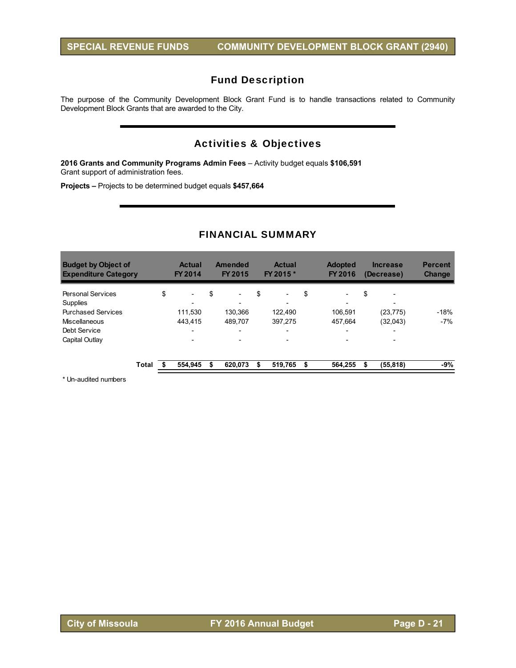The purpose of the Community Development Block Grant Fund is to handle transactions related to Community Development Block Grants that are awarded to the City.

# Activities & Objectives

**2016 Grants and Community Programs Admin Fees** – Activity budget equals **\$106,591**  Grant support of administration fees.

**Projects –** Projects to be determined budget equals **\$457,664** 

## FINANCIAL SUMMARY

| <b>Budget by Object of</b><br><b>Expenditure Category</b> |       | <b>Actual</b><br><b>FY 2014</b> | <b>Amended</b><br>FY 2015      | <b>Actual</b><br>FY 2015 *     | <b>Adopted</b><br>FY 2016      | <b>Increase</b><br>(Decrease)  | <b>Percent</b><br><b>Change</b> |
|-----------------------------------------------------------|-------|---------------------------------|--------------------------------|--------------------------------|--------------------------------|--------------------------------|---------------------------------|
| <b>Personal Services</b>                                  |       | \$<br>$\overline{\phantom{a}}$  | \$<br>$\overline{\phantom{0}}$ | \$<br>$\overline{\phantom{a}}$ | \$<br>$\overline{\phantom{0}}$ | \$<br>$\overline{\phantom{a}}$ |                                 |
| <b>Supplies</b>                                           |       | $\overline{\phantom{0}}$        |                                |                                | $\overline{\phantom{0}}$       |                                |                                 |
| <b>Purchased Services</b>                                 |       | 111.530                         | 130.366                        | 122.490                        | 106.591                        | (23.775)                       | $-18%$                          |
| Miscellaneous                                             |       | 443.415                         | 489.707                        | 397.275                        | 457.664                        | (32,043)                       | $-7%$                           |
| Debt Service                                              |       | $\overline{\phantom{0}}$        | $\overline{\phantom{0}}$       | $\overline{\phantom{0}}$       | $\overline{\phantom{0}}$       | $\overline{a}$                 |                                 |
| Capital Outlay                                            |       | $\overline{\phantom{0}}$        |                                |                                |                                |                                |                                 |
|                                                           | Total | 554,945                         | \$<br>620,073                  | \$<br>519,765                  | \$<br>564.255                  | \$<br>(55, 818)                | $-9%$                           |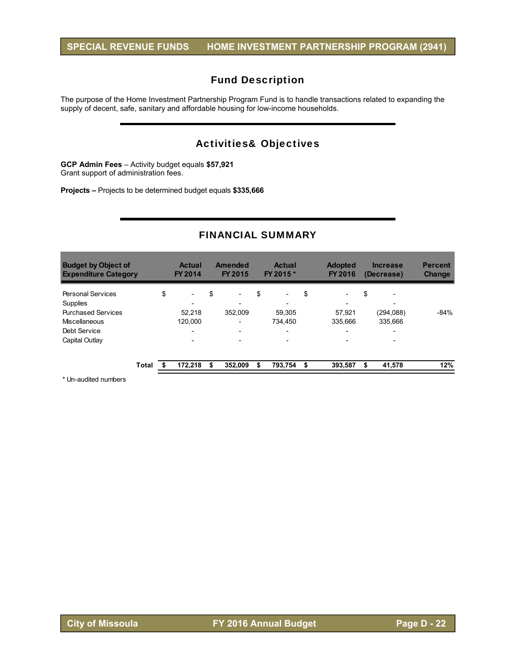The purpose of the Home Investment Partnership Program Fund is to handle transactions related to expanding the supply of decent, safe, sanitary and affordable housing for low-income households.

# Activities& Objectives

**GCP Admin Fees** – Activity budget equals **\$57,921**  Grant support of administration fees.

**Projects –** Projects to be determined budget equals **\$335,666**

## FINANCIAL SUMMARY

| <b>Budget by Object of</b><br><b>Expenditure Category</b> |       | <b>Actual</b><br><b>FY 2014</b> |    | <b>Amended</b><br>FY 2015 | <b>Actual</b><br>FY 2015 *     |    | <b>Adopted</b><br>FY 2016 | <b>Increase</b><br>(Decrease) | <b>Percent</b><br><b>Change</b> |
|-----------------------------------------------------------|-------|---------------------------------|----|---------------------------|--------------------------------|----|---------------------------|-------------------------------|---------------------------------|
| <b>Personal Services</b>                                  |       | \$<br>$\overline{\phantom{a}}$  | \$ | $\overline{\phantom{a}}$  | \$<br>$\overline{\phantom{a}}$ | \$ | $\overline{\phantom{0}}$  | \$<br>۰                       |                                 |
| Supplies                                                  |       | $\overline{\phantom{0}}$        |    |                           | $\overline{\phantom{0}}$       |    | $\overline{\phantom{0}}$  | ۰                             |                                 |
| <b>Purchased Services</b>                                 |       | 52.218                          |    | 352.009                   | 59.305                         |    | 57,921                    | (294, 088)                    | $-84%$                          |
| Miscellaneous                                             |       | 120.000                         |    | $\overline{\phantom{0}}$  | 734.450                        |    | 335.666                   | 335.666                       |                                 |
| Debt Service                                              |       | $\overline{\phantom{0}}$        |    | $\overline{\phantom{0}}$  | $\overline{\phantom{0}}$       |    | $\overline{\phantom{a}}$  | $\overline{\phantom{0}}$      |                                 |
| Capital Outlay                                            |       | $\overline{\phantom{0}}$        |    |                           |                                |    | $\overline{\phantom{0}}$  |                               |                                 |
|                                                           | Total | 172,218                         | S  | 352.009                   | 793.754                        | S  | 393,587                   | 41,578                        | 12%                             |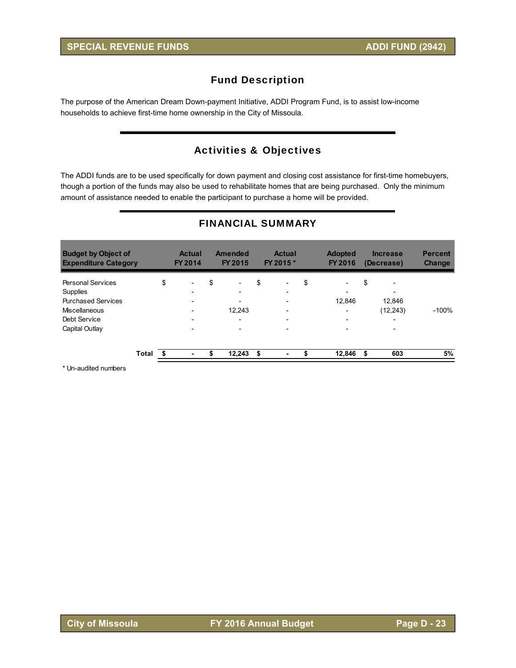The purpose of the American Dream Down-payment Initiative, ADDI Program Fund, is to assist low-income households to achieve first-time home ownership in the City of Missoula.

# Activities & Objectives

The ADDI funds are to be used specifically for down payment and closing cost assistance for first-time homebuyers, though a portion of the funds may also be used to rehabilitate homes that are being purchased. Only the minimum amount of assistance needed to enable the participant to purchase a home will be provided.

| <b>Budget by Object of</b><br><b>Expenditure Category</b> |       | <b>Actual</b><br>FY 2014       | Amended<br>FY 2015             |    | <b>Actual</b><br>FY 2015 * | <b>Adopted</b><br>FY 2016      | <b>Increase</b><br>(Decrease) | <b>Percent</b><br><b>Change</b> |
|-----------------------------------------------------------|-------|--------------------------------|--------------------------------|----|----------------------------|--------------------------------|-------------------------------|---------------------------------|
| <b>Personal Services</b>                                  |       | \$<br>$\overline{\phantom{0}}$ | \$<br>$\overline{\phantom{0}}$ | \$ |                            | \$<br>$\overline{\phantom{a}}$ | \$                            |                                 |
| Supplies                                                  |       |                                |                                |    |                            | $\overline{\phantom{a}}$       |                               |                                 |
| <b>Purchased Services</b>                                 |       |                                | $\overline{\phantom{0}}$       |    |                            | 12,846                         | 12,846                        |                                 |
| Miscellaneous                                             |       |                                | 12,243                         |    |                            | $\overline{\phantom{a}}$       | (12,243)                      | $-100%$                         |
| Debt Service                                              |       | $\overline{\phantom{0}}$       | $\overline{\phantom{0}}$       |    |                            | $\overline{\phantom{a}}$       | $\overline{\phantom{0}}$      |                                 |
| Capital Outlay                                            |       | $\overline{\phantom{0}}$       | $\overline{\phantom{0}}$       |    |                            | $\overline{\phantom{0}}$       | $\overline{\phantom{0}}$      |                                 |
|                                                           | Total | ٠                              | 12,243                         | S  |                            | 12,846                         | \$<br>603                     | 5%                              |

## FINANCIAL SUMMARY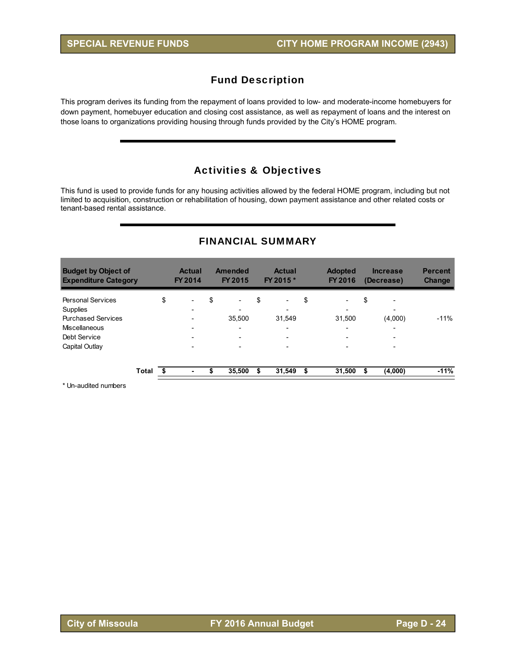This program derives its funding from the repayment of loans provided to low- and moderate-income homebuyers for down payment, homebuyer education and closing cost assistance, as well as repayment of loans and the interest on those loans to organizations providing housing through funds provided by the City's HOME program.

# Activities & Objectives

This fund is used to provide funds for any housing activities allowed by the federal HOME program, including but not limited to acquisition, construction or rehabilitation of housing, down payment assistance and other related costs or tenant-based rental assistance.

| <b>FINANCIAL SUMMARY</b> |  |
|--------------------------|--|
|--------------------------|--|

| <b>Budget by Object of</b><br><b>Expenditure Category</b> |       | <b>Actual</b><br>FY 2014       | <b>Amended</b><br>FY 2015      |    | <b>Actual</b><br>FY 2015 * | <b>Adopted</b><br>FY 2016      | <b>Increase</b><br>(Decrease) | <b>Percent</b><br><b>Change</b> |
|-----------------------------------------------------------|-------|--------------------------------|--------------------------------|----|----------------------------|--------------------------------|-------------------------------|---------------------------------|
| <b>Personal Services</b>                                  |       | \$<br>$\overline{\phantom{0}}$ | \$<br>$\overline{\phantom{a}}$ | \$ | $\overline{\phantom{a}}$   | \$<br>$\overline{\phantom{0}}$ | \$                            |                                 |
| Supplies                                                  |       | -                              |                                |    |                            | $\overline{\phantom{0}}$       | ۰                             |                                 |
| <b>Purchased Services</b>                                 |       | $\overline{\phantom{0}}$       | 35.500                         |    | 31.549                     | 31.500                         | (4,000)                       | $-11\%$                         |
| <b>Miscellaneous</b>                                      |       | $\overline{\phantom{0}}$       | $\overline{\phantom{0}}$       |    | $\overline{\phantom{0}}$   | $\overline{\phantom{0}}$       | ۰                             |                                 |
| Debt Service                                              |       | $\overline{\phantom{0}}$       |                                |    |                            | $\overline{\phantom{0}}$       |                               |                                 |
| Capital Outlay                                            |       | $\overline{\phantom{0}}$       |                                |    |                            | $\overline{\phantom{0}}$       |                               |                                 |
|                                                           | Total |                                | \$<br>35,500                   | S  | 31,549                     | \$<br>31,500                   | \$<br>(4,000)                 | $-11%$                          |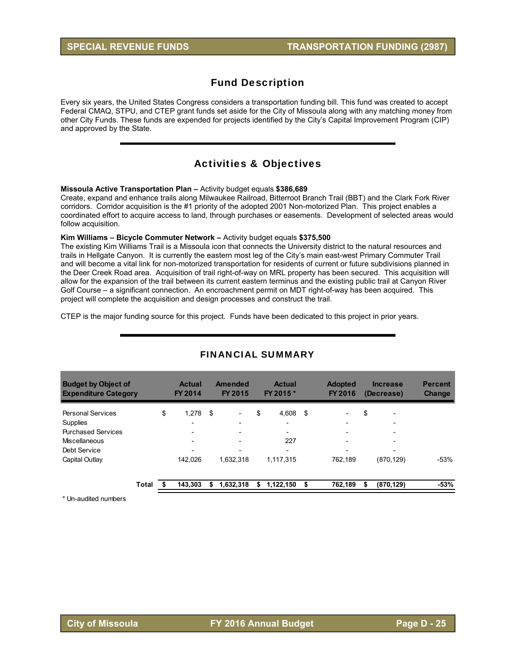Every six years, the United States Congress considers a transportation funding bill. This fund was created to accept Federal CMAQ, STPU, and CTEP grant funds set aside for the City of Missoula along with any matching money from other City Funds. These funds are expended for projects identified by the City's Capital Improvement Program (CIP) and approved by the State.

## Activities & Objectives

#### **Missoula Active Transportation Plan –** Activity budget equals **\$386,689**

Create, expand and enhance trails along Milwaukee Railroad, Bitterroot Branch Trail (BBT) and the Clark Fork River corridors. Corridor acquisition is the #1 priority of the adopted 2001 Non-motorized Plan. This project enables a coordinated effort to acquire access to land, through purchases or easements. Development of selected areas would follow acquisition.

#### **Kim Williams – Bicycle Commuter Network –** Activity budget equals **\$375,500**

The existing Kim Williams Trail is a Missoula icon that connects the University district to the natural resources and trails in Hellgate Canyon. It is currently the eastern most leg of the City's main east-west Primary Commuter Trail and will become a vital link for non-motorized transportation for residents of current or future subdivisions planned in the Deer Creek Road area. Acquisition of trail right-of-way on MRL property has been secured. This acquisition will allow for the expansion of the trail between its current eastern terminus and the existing public trail at Canyon River Golf Course – a significant connection. An encroachment permit on MDT right-of-way has been acquired. This project will complete the acquisition and design processes and construct the trail.

CTEP is the major funding source for this project. Funds have been dedicated to this project in prior years.

| <b>Budget by Object of</b><br><b>Expenditure Category</b> |       | <b>Actual</b><br>FY 2014 |     | Amended<br>FY 2015       | <b>Actual</b><br>FY 2015 * | <b>Adopted</b><br>FY 2016      | <b>Increase</b><br>(Decrease)  | <b>Percent</b><br><b>Change</b> |
|-----------------------------------------------------------|-------|--------------------------|-----|--------------------------|----------------------------|--------------------------------|--------------------------------|---------------------------------|
| <b>Personal Services</b>                                  |       | \$<br>1.278              | -\$ |                          | \$<br>4.608                | \$<br>$\overline{\phantom{0}}$ | \$<br>$\overline{\phantom{0}}$ |                                 |
| Supplies                                                  |       | $\overline{\phantom{0}}$ |     | $\overline{\phantom{0}}$ | $\overline{\phantom{0}}$   | $\overline{\phantom{0}}$       | $\overline{\phantom{0}}$       |                                 |
| <b>Purchased Services</b>                                 |       |                          |     | $\overline{\phantom{0}}$ | $\overline{\phantom{0}}$   | $\overline{\phantom{0}}$       | $\overline{\phantom{0}}$       |                                 |
| Miscellaneous                                             |       | $\overline{\phantom{0}}$ |     |                          | 227                        | $\overline{\phantom{0}}$       | $\overline{\phantom{0}}$       |                                 |
| Debt Service                                              |       |                          |     | $\overline{\phantom{0}}$ | -                          | $\overline{\phantom{0}}$       | $\overline{\phantom{0}}$       |                                 |
| Capital Outlay                                            |       | 142.026                  |     | 1.632.318                | 1,117,315                  | 762.189                        | (870, 129)                     | $-53%$                          |
|                                                           | Total | 143.303                  |     | 1,632,318                | \$<br>1,122,150            | \$<br>762.189                  | \$<br>(870, 129)               | $-53%$                          |

## FINANCIAL SUMMARY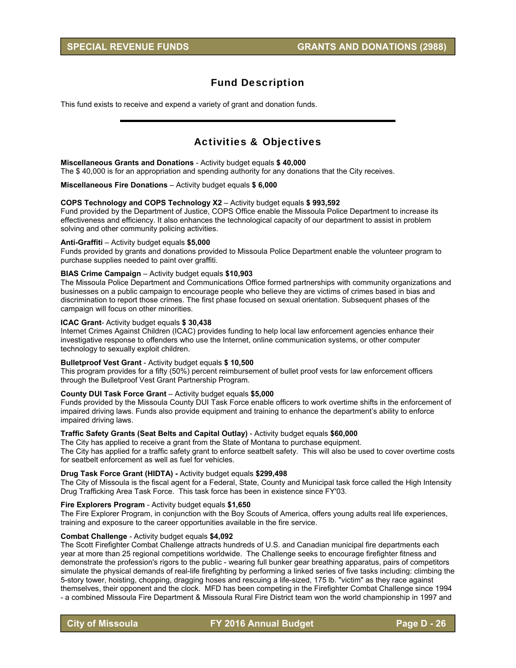This fund exists to receive and expend a variety of grant and donation funds.

## Activities & Objectives

#### **Miscellaneous Grants and Donations** - Activity budget equals **\$ 40,000**

The \$ 40,000 is for an appropriation and spending authority for any donations that the City receives.

#### **Miscellaneous Fire Donations** – Activity budget equals **\$ 6,000**

#### **COPS Technology and COPS Technology X2** – Activity budget equals **\$ 993,592**

Fund provided by the Department of Justice, COPS Office enable the Missoula Police Department to increase its effectiveness and efficiency. It also enhances the technological capacity of our department to assist in problem solving and other community policing activities.

#### **Anti-Graffiti** – Activity budget equals **\$5,000**

Funds provided by grants and donations provided to Missoula Police Department enable the volunteer program to purchase supplies needed to paint over graffiti.

#### **BIAS Crime Campaign** – Activity budget equals **\$10,903**

The Missoula Police Department and Communications Office formed partnerships with community organizations and businesses on a public campaign to encourage people who believe they are victims of crimes based in bias and discrimination to report those crimes. The first phase focused on sexual orientation. Subsequent phases of the campaign will focus on other minorities.

#### **ICAC Grant**- Activity budget equals **\$ 30,438**

Internet Crimes Against Children (ICAC) provides funding to help local law enforcement agencies enhance their investigative response to offenders who use the Internet, online communication systems, or other computer technology to sexually exploit children.

#### **Bulletproof Vest Grant** - Activity budget equals **\$ 10,500**

This program provides for a fifty (50%) percent reimbursement of bullet proof vests for law enforcement officers through the Bulletproof Vest Grant Partnership Program.

#### **County DUI Task Force Grant** – Activity budget equals **\$5,000**

Funds provided by the Missoula County DUI Task Force enable officers to work overtime shifts in the enforcement of impaired driving laws. Funds also provide equipment and training to enhance the department's ability to enforce impaired driving laws.

#### **Traffic Safety Grants (Seat Belts and Capital Outlay)** - Activity budget equals **\$60,000**

The City has applied to receive a grant from the State of Montana to purchase equipment. The City has applied for a traffic safety grant to enforce seatbelt safety. This will also be used to cover overtime costs for seatbelt enforcement as well as fuel for vehicles.

#### **Drug Task Force Grant (HIDTA) -** Activity budget equals **\$299,498**

The City of Missoula is the fiscal agent for a Federal, State, County and Municipal task force called the High Intensity Drug Trafficking Area Task Force. This task force has been in existence since FY'03.

#### **Fire Explorers Program** - Activity budget equals **\$1,650**

The Fire Explorer Program, in conjunction with the Boy Scouts of America, offers young adults real life experiences, training and exposure to the career opportunities available in the fire service.

#### **Combat Challenge** - Activity budget equals **\$4,092**

The Scott Firefighter Combat Challenge attracts hundreds of U.S. and Canadian municipal fire departments each year at more than 25 regional competitions worldwide. The Challenge seeks to encourage firefighter fitness and demonstrate the profession's rigors to the public - wearing full bunker gear breathing apparatus, pairs of competitors simulate the physical demands of real-life firefighting by performing a linked series of five tasks including: climbing the 5-story tower, hoisting, chopping, dragging hoses and rescuing a life-sized, 175 lb. "victim" as they race against themselves, their opponent and the clock. MFD has been competing in the Firefighter Combat Challenge since 1994 - a combined Missoula Fire Department & Missoula Rural Fire District team won the world championship in 1997 and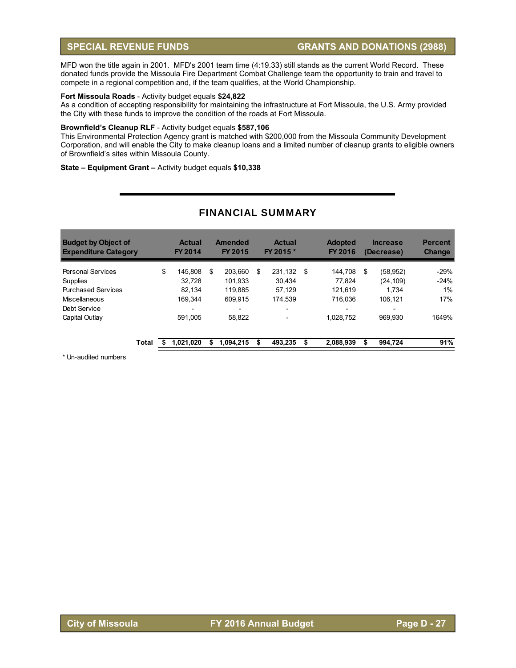MFD won the title again in 2001. MFD's 2001 team time (4:19.33) still stands as the current World Record. These donated funds provide the Missoula Fire Department Combat Challenge team the opportunity to train and travel to compete in a regional competition and, if the team qualifies, at the World Championship.

#### **Fort Missoula Roads** - Activity budget equals **\$24,822**

As a condition of accepting responsibility for maintaining the infrastructure at Fort Missoula, the U.S. Army provided the City with these funds to improve the condition of the roads at Fort Missoula.

#### **Brownfield's Cleanup RLF** - Activity budget equals **\$587,106**

This Environmental Protection Agency grant is matched with \$200,000 from the Missoula Community Development Corporation, and will enable the City to make cleanup loans and a limited number of cleanup grants to eligible owners of Brownfield's sites within Missoula County.

#### **State – Equipment Grant –** Activity budget equals **\$10,338**

| <b>Budget by Object of</b><br><b>Expenditure Category</b> |       | <b>Actual</b><br><b>FY 2014</b> |    | Amended<br>FY 2015       | <b>Actual</b><br>FY 2015 * | <b>Adopted</b><br>FY 2016 | <b>Increase</b><br>(Decrease) | <b>Percent</b><br><b>Change</b> |
|-----------------------------------------------------------|-------|---------------------------------|----|--------------------------|----------------------------|---------------------------|-------------------------------|---------------------------------|
| <b>Personal Services</b>                                  |       | \$<br>145.808                   | \$ | 203.660                  | \$<br>231.132 \$           | 144,708                   | \$<br>(58, 952)               | $-29%$                          |
| <b>Supplies</b>                                           |       | 32.728                          |    | 101.933                  | 30.434                     | 77.824                    | (24, 109)                     | $-24%$                          |
| <b>Purchased Services</b>                                 |       | 82.134                          |    | 119.885                  | 57.129                     | 121.619                   | 1.734                         | 1%                              |
| Miscellaneous                                             |       | 169.344                         |    | 609.915                  | 174.539                    | 716.036                   | 106.121                       | 17%                             |
| Debt Service                                              |       | $\overline{\phantom{0}}$        |    | $\overline{\phantom{0}}$ | $\overline{\phantom{0}}$   | $\overline{\phantom{0}}$  | $\overline{\phantom{0}}$      |                                 |
| Capital Outlay                                            |       | 591.005                         |    | 58.822                   |                            | 1.028.752                 | 969.930                       | 1649%                           |
|                                                           | Total | 1.021.020                       | S  | 1.094.215                | 493.235                    | \$<br>2,088,939           | \$<br>994.724                 | 91%                             |

## FINANCIAL SUMMARY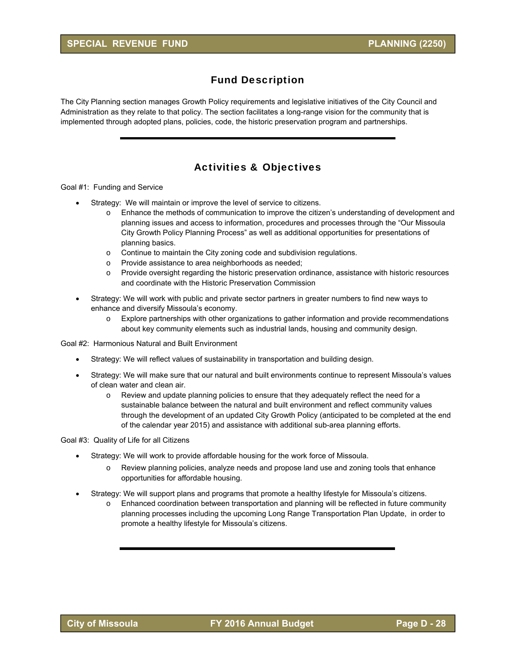The City Planning section manages Growth Policy requirements and legislative initiatives of the City Council and Administration as they relate to that policy. The section facilitates a long-range vision for the community that is implemented through adopted plans, policies, code, the historic preservation program and partnerships.

# Activities & Objectives

Goal #1: Funding and Service

- Strategy: We will maintain or improve the level of service to citizens.
	- o Enhance the methods of communication to improve the citizen's understanding of development and planning issues and access to information, procedures and processes through the "Our Missoula City Growth Policy Planning Process" as well as additional opportunities for presentations of planning basics.
	- $\circ$  Continue to maintain the City zoning code and subdivision regulations.
	- o Provide assistance to area neighborhoods as needed;
	- o Provide oversight regarding the historic preservation ordinance, assistance with historic resources and coordinate with the Historic Preservation Commission
- Strategy: We will work with public and private sector partners in greater numbers to find new ways to enhance and diversify Missoula's economy.
	- o Explore partnerships with other organizations to gather information and provide recommendations about key community elements such as industrial lands, housing and community design.

Goal #2: Harmonious Natural and Built Environment

- Strategy: We will reflect values of sustainability in transportation and building design.
- Strategy: We will make sure that our natural and built environments continue to represent Missoula's values of clean water and clean air.
	- $\circ$  Review and update planning policies to ensure that they adequately reflect the need for a sustainable balance between the natural and built environment and reflect community values through the development of an updated City Growth Policy (anticipated to be completed at the end of the calendar year 2015) and assistance with additional sub-area planning efforts.

Goal #3: Quality of Life for all Citizens

- Strategy: We will work to provide affordable housing for the work force of Missoula.
	- o Review planning policies, analyze needs and propose land use and zoning tools that enhance opportunities for affordable housing.
- Strategy: We will support plans and programs that promote a healthy lifestyle for Missoula's citizens.
	- o Enhanced coordination between transportation and planning will be reflected in future community planning processes including the upcoming Long Range Transportation Plan Update, in order to promote a healthy lifestyle for Missoula's citizens.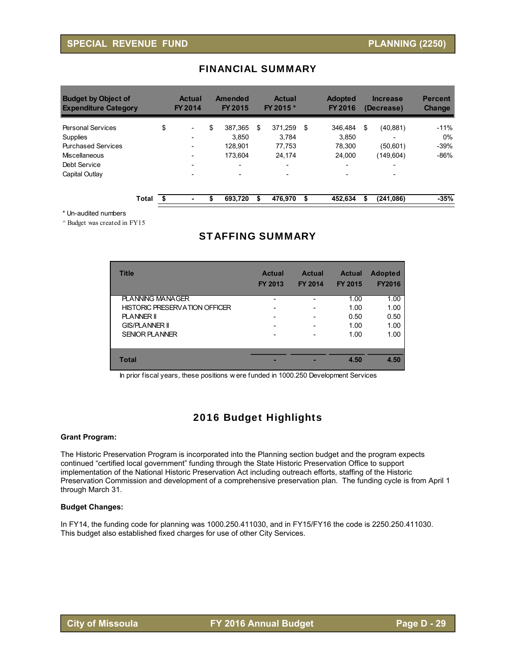| <b>Budget by Object of</b><br><b>Expenditure Category</b> |       |    | <b>Actual</b><br>FY 2014 | Amended<br><b>FY 2015</b> | <b>Actual</b><br>FY 2015 * | <b>Adopted</b><br><b>FY 2016</b> | <b>Increase</b><br>(Decrease) | <b>Percent</b><br><b>Change</b> |
|-----------------------------------------------------------|-------|----|--------------------------|---------------------------|----------------------------|----------------------------------|-------------------------------|---------------------------------|
| <b>Personal Services</b>                                  |       | \$ | $\overline{\phantom{0}}$ | \$<br>387.365             | \$<br>371.259              | \$<br>346.484                    | \$<br>(40, 881)               | $-11%$                          |
| <b>Supplies</b>                                           |       |    | $\overline{\phantom{0}}$ | 3.850                     | 3.784                      | 3.850                            | -                             | $0\%$                           |
| <b>Purchased Services</b>                                 |       |    | $\overline{\phantom{0}}$ | 128.901                   | 77,753                     | 78.300                           | (50,601)                      | $-39%$                          |
| Miscellaneous                                             |       |    |                          | 173.604                   | 24.174                     | 24.000                           | (149,604)                     | $-86%$                          |
| Debt Service                                              |       |    | $\overline{\phantom{0}}$ | $\overline{\phantom{0}}$  | -                          | $\overline{\phantom{0}}$         | $\overline{\phantom{0}}$      |                                 |
| Capital Outlay                                            |       |    |                          |                           | $\overline{\phantom{0}}$   | $\overline{\phantom{0}}$         | $\overline{\phantom{0}}$      |                                 |
|                                                           | Total | Ŝ. | ۰                        | \$<br>693.720             | \$<br>476.970              | \$<br>452.634                    | \$<br>(241, 086)              | $-35%$                          |

## FINANCIAL SUMMARY

\* Un-audited numbers

 $^{\wedge}$  Budget was created in FY15

# STAFFING SUMMARY

| <b>Title</b>                         | <b>Actual</b><br><b>FY 2013</b> | <b>Actual</b><br><b>FY 2014</b> | <b>Actual</b><br><b>FY 2015</b> | <b>Adopted</b><br><b>FY2016</b> |
|--------------------------------------|---------------------------------|---------------------------------|---------------------------------|---------------------------------|
| <b>PLANNING MANAGER</b>              |                                 |                                 | 1.00                            | 1.00                            |
| <b>HISTORIC PRESERVATION OFFICER</b> |                                 |                                 | 1.00                            | 1.00                            |
| <b>PLANNER II</b>                    |                                 |                                 | 0.50                            | 0.50                            |
| <b>GIS/PLANNER II</b>                |                                 |                                 | 1.00                            | 1.00                            |
| <b>SENIOR PLANNER</b>                |                                 |                                 | 1.00                            | 1.00                            |
| Total                                |                                 |                                 | 4.50                            | 4.50                            |

In prior fiscal years, these positions w ere funded in 1000.250 Development Services

# 2016 Budget Highlights

#### **Grant Program:**

The Historic Preservation Program is incorporated into the Planning section budget and the program expects continued "certified local government" funding through the State Historic Preservation Office to support implementation of the National Historic Preservation Act including outreach efforts, staffing of the Historic Preservation Commission and development of a comprehensive preservation plan. The funding cycle is from April 1 through March 31.

#### **Budget Changes:**

In FY14, the funding code for planning was 1000.250.411030, and in FY15/FY16 the code is 2250.250.411030. This budget also established fixed charges for use of other City Services.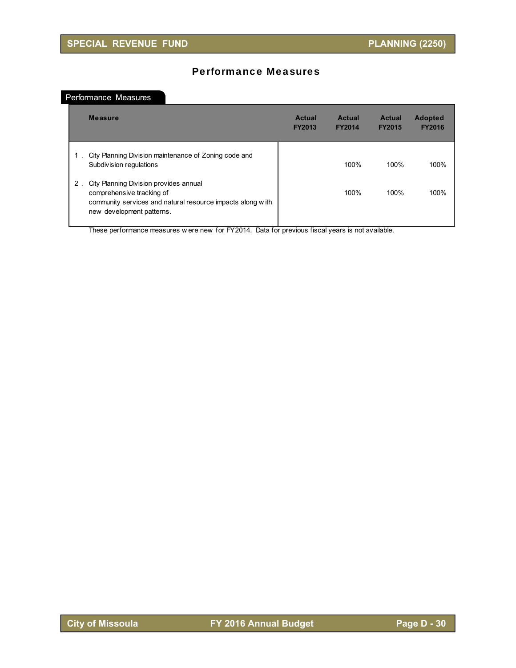# Performance Measures

## Performance Measures

|    | <b>Measure</b>                                                                                                                                                 | <b>Actual</b><br><b>FY2013</b> | <b>Actual</b><br><b>FY2014</b> | <b>Actual</b><br><b>FY2015</b> | <b>Adopted</b><br><b>FY2016</b> |
|----|----------------------------------------------------------------------------------------------------------------------------------------------------------------|--------------------------------|--------------------------------|--------------------------------|---------------------------------|
| 1. | City Planning Division maintenance of Zoning code and<br>Subdivision regulations                                                                               |                                | 100%                           | 100%                           | 100%                            |
| 2. | City Planning Division provides annual<br>comprehensive tracking of<br>community services and natural resource impacts along with<br>new development patterns. |                                | 100%                           | 100%                           | 100%                            |

These performance measures w ere new for FY2014. Data for previous fiscal years is not available.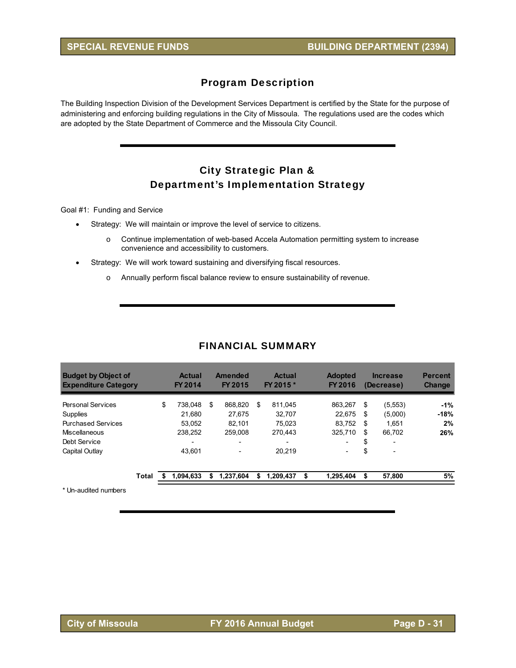## Program Description

The Building Inspection Division of the Development Services Department is certified by the State for the purpose of administering and enforcing building regulations in the City of Missoula. The regulations used are the codes which are adopted by the State Department of Commerce and the Missoula City Council.

# City Strategic Plan & Department's Implementation Strategy

Goal #1: Funding and Service

- Strategy: We will maintain or improve the level of service to citizens.
	- o Continue implementation of web-based Accela Automation permitting system to increase convenience and accessibility to customers.
- Strategy: We will work toward sustaining and diversifying fiscal resources.
	- o Annually perform fiscal balance review to ensure sustainability of revenue.

## FINANCIAL SUMMARY

| <b>Budget by Object of</b><br><b>Expenditure Category</b> | <b>Actual</b><br><b>FY 2014</b> |    | Amended<br>FY 2015       |    | <b>Actual</b><br>FY 2015 * | <b>Adopted</b><br><b>FY 2016</b> |      | <b>Increase</b><br>(Decrease) | <b>Percent</b><br><b>Change</b> |
|-----------------------------------------------------------|---------------------------------|----|--------------------------|----|----------------------------|----------------------------------|------|-------------------------------|---------------------------------|
| <b>Personal Services</b>                                  | \$<br>738.048                   | \$ | 868.820                  | \$ | 811.045                    | 863.267                          | \$   | (5,553)                       | $-1%$                           |
| Supplies                                                  | 21.680                          |    | 27.675                   |    | 32.707                     | 22.675                           | \$   | (5,000)                       | $-18%$                          |
| <b>Purchased Services</b>                                 | 53.052                          |    | 82.101                   |    | 75.023                     | 83.752                           | - \$ | 1,651                         | 2%                              |
| <b>Miscellaneous</b>                                      | 238.252                         |    | 259,008                  |    | 270.443                    | 325.710                          | \$   | 66.702                        | 26%                             |
| Debt Service                                              | $\overline{\phantom{0}}$        |    | $\overline{\phantom{0}}$ |    | -                          | -                                | \$   | $\overline{\phantom{0}}$      |                                 |
| Capital Outlay                                            | 43.601                          |    | $\overline{\phantom{a}}$ |    | 20.219                     | -                                | \$   | $\overline{\phantom{a}}$      |                                 |
| <b>Total</b>                                              | 1.094.633                       | S  | 1,237,604                | S  | 1,209,437                  | \$<br>1,295,404                  | \$   | 57,800                        | 5%                              |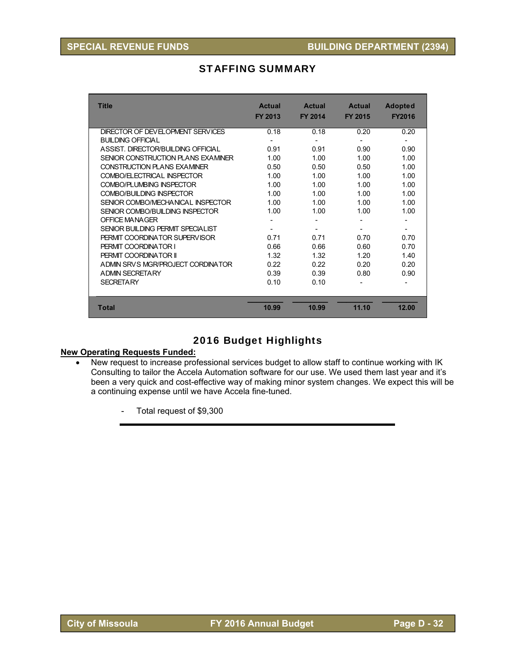# STAFFING SUMMARY

| <b>Title</b>                       | <b>Actual</b><br>FY 2013 | <b>Actual</b><br><b>FY 2014</b> | <b>Actual</b><br><b>FY 2015</b> | <b>Adopted</b><br><b>FY2016</b> |
|------------------------------------|--------------------------|---------------------------------|---------------------------------|---------------------------------|
| DIRECTOR OF DEVELOPMENT SERVICES   | 0.18                     | 0.18                            | 0.20                            | 0.20                            |
| <b>BUILDING OFFICIAL</b>           |                          |                                 |                                 |                                 |
| ASSIST DIRECTOR/BUILDING OFFICIAL  | 0.91                     | 0.91                            | 0.90                            | 0.90                            |
| SENIOR CONSTRUCTION PLANS EXAMINER | 1.00                     | 1.00                            | 1.00                            | 1.00                            |
| CONSTRUCTION PLANS EXAMINER        | 0.50                     | 0.50                            | 0.50                            | 1.00                            |
| COMBO/ELECTRICAL INSPECTOR         | 1.00                     | 1.00                            | 1.00                            | 1.00                            |
| COMBO/PLUMBING INSPECTOR           | 1.00                     | 1.00                            | 1.00                            | 1.00                            |
| COMBO/BUILDING INSPECTOR           | 1.00                     | 1.00                            | 1.00                            | 1.00                            |
| SENIOR COMBO/MECHANICAL INSPECTOR  | 1.00                     | 1.00                            | 1.00                            | 1.00                            |
| SENIOR COMBO/BUILDING INSPECTOR    | 1.00                     | 1.00                            | 1.00                            | 1.00                            |
| OFFICE MANAGER                     |                          |                                 |                                 |                                 |
| SENIOR BUILDING PERMIT SPECIAL IST |                          |                                 |                                 | $\overline{\phantom{a}}$        |
| PERMIT COORDINATOR SUPERVISOR      | 0.71                     | 0.71                            | 0.70                            | 0.70                            |
| PERMIT COORDINATOR I               | 0.66                     | 0.66                            | 0.60                            | 0.70                            |
| PERMIT COORDINATOR II              | 1.32                     | 1.32                            | 1.20                            | 1.40                            |
| ADMIN SRVS MGR/PROJECT CORDINATOR  | 0.22                     | 0.22                            | 0.20                            | 0.20                            |
| A DMIN SECRETARY                   | 0.39                     | 0.39                            | 0.80                            | 0.90                            |
| <b>SECRETARY</b>                   | 0.10                     | 0.10                            |                                 |                                 |
|                                    |                          |                                 |                                 |                                 |
| <b>Total</b>                       | 10.99                    | 10.99                           | 11.10                           | 12.00                           |

# 2016 Budget Highlights

## **New Operating Requests Funded:**

- New request to increase professional services budget to allow staff to continue working with IK Consulting to tailor the Accela Automation software for our use. We used them last year and it's been a very quick and cost-effective way of making minor system changes. We expect this will be a continuing expense until we have Accela fine-tuned.
	- Total request of \$9,300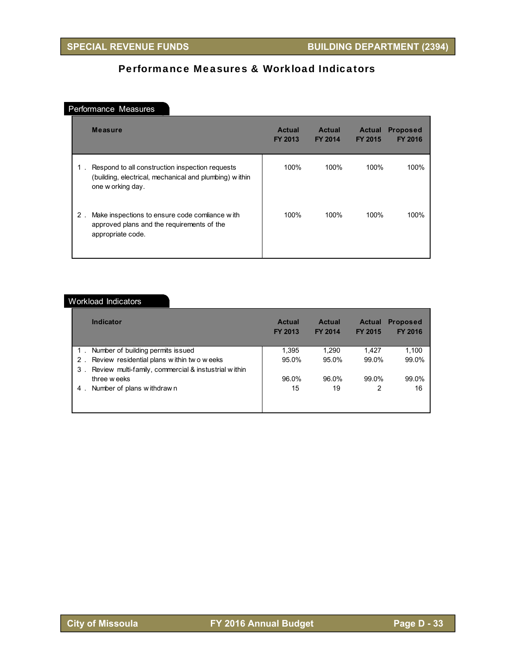# Performance Measures & Workload Indicators

## Performance Measures

|    | <b>Measure</b>                                                                                                                 | <b>Actual</b><br><b>FY 2013</b> | <b>Actual</b><br><b>FY 2014</b> | <b>Actual</b><br><b>FY 2015</b> | <b>Proposed</b><br>FY 2016 |
|----|--------------------------------------------------------------------------------------------------------------------------------|---------------------------------|---------------------------------|---------------------------------|----------------------------|
| 1. | Respond to all construction inspection requests<br>(building, electrical, mechanical and plumbing) within<br>one w orking day. | 100%                            | 100%                            | 100%                            | 100%                       |
| 2. | Make inspections to ensure code comliance with<br>approved plans and the requirements of the<br>appropriate code.              | 100%                            | 100%                            | 100%                            | 100%                       |

#### Workload Indicators

|       | <b>Indicator</b>                                     | <b>Actual</b><br><b>FY 2013</b> | <b>Actual</b><br><b>FY 2014</b> | <b>Actual</b><br><b>FY 2015</b> | <b>Proposed</b><br>FY 2016 |
|-------|------------------------------------------------------|---------------------------------|---------------------------------|---------------------------------|----------------------------|
|       | Number of building permits issued                    | 1,395                           | 1.290                           | 1.427                           | 1,100                      |
| $2$ . | Review residential plans within two weeks            | 95.0%                           | 95.0%                           | 99.0%                           | 99.0%                      |
| 3     | Review multi-family, commercial & instustrial within |                                 |                                 |                                 |                            |
|       | three weeks                                          | 96.0%                           | 96.0%                           | 99.0%                           | 99.0%                      |
| 4.    | Number of plans withdrawn                            | 15                              | 19                              | 2                               | 16                         |
|       |                                                      |                                 |                                 |                                 |                            |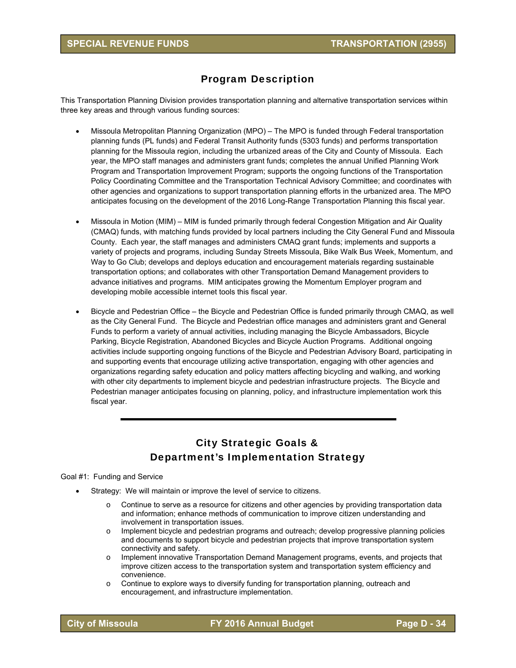# Program Description

This Transportation Planning Division provides transportation planning and alternative transportation services within three key areas and through various funding sources:

- Missoula Metropolitan Planning Organization (MPO) The MPO is funded through Federal transportation planning funds (PL funds) and Federal Transit Authority funds (5303 funds) and performs transportation planning for the Missoula region, including the urbanized areas of the City and County of Missoula. Each year, the MPO staff manages and administers grant funds; completes the annual Unified Planning Work Program and Transportation Improvement Program; supports the ongoing functions of the Transportation Policy Coordinating Committee and the Transportation Technical Advisory Committee; and coordinates with other agencies and organizations to support transportation planning efforts in the urbanized area. The MPO anticipates focusing on the development of the 2016 Long-Range Transportation Planning this fiscal year.
- Missoula in Motion (MIM) MIM is funded primarily through federal Congestion Mitigation and Air Quality (CMAQ) funds, with matching funds provided by local partners including the City General Fund and Missoula County. Each year, the staff manages and administers CMAQ grant funds; implements and supports a variety of projects and programs, including Sunday Streets Missoula, Bike Walk Bus Week, Momentum, and Way to Go Club; develops and deploys education and encouragement materials regarding sustainable transportation options; and collaborates with other Transportation Demand Management providers to advance initiatives and programs. MIM anticipates growing the Momentum Employer program and developing mobile accessible internet tools this fiscal year.
- Bicycle and Pedestrian Office the Bicycle and Pedestrian Office is funded primarily through CMAQ, as well as the City General Fund. The Bicycle and Pedestrian office manages and administers grant and General Funds to perform a variety of annual activities, including managing the Bicycle Ambassadors, Bicycle Parking, Bicycle Registration, Abandoned Bicycles and Bicycle Auction Programs. Additional ongoing activities include supporting ongoing functions of the Bicycle and Pedestrian Advisory Board, participating in and supporting events that encourage utilizing active transportation, engaging with other agencies and organizations regarding safety education and policy matters affecting bicycling and walking, and working with other city departments to implement bicycle and pedestrian infrastructure projects. The Bicycle and Pedestrian manager anticipates focusing on planning, policy, and infrastructure implementation work this fiscal year.

# City Strategic Goals & Department's Implementation Strategy

#### Goal #1: Funding and Service

- Strategy: We will maintain or improve the level of service to citizens.
	- o Continue to serve as a resource for citizens and other agencies by providing transportation data and information; enhance methods of communication to improve citizen understanding and involvement in transportation issues.
	- o Implement bicycle and pedestrian programs and outreach; develop progressive planning policies and documents to support bicycle and pedestrian projects that improve transportation system connectivity and safety.
	- o Implement innovative Transportation Demand Management programs, events, and projects that improve citizen access to the transportation system and transportation system efficiency and convenience.
	- o Continue to explore ways to diversify funding for transportation planning, outreach and encouragement, and infrastructure implementation.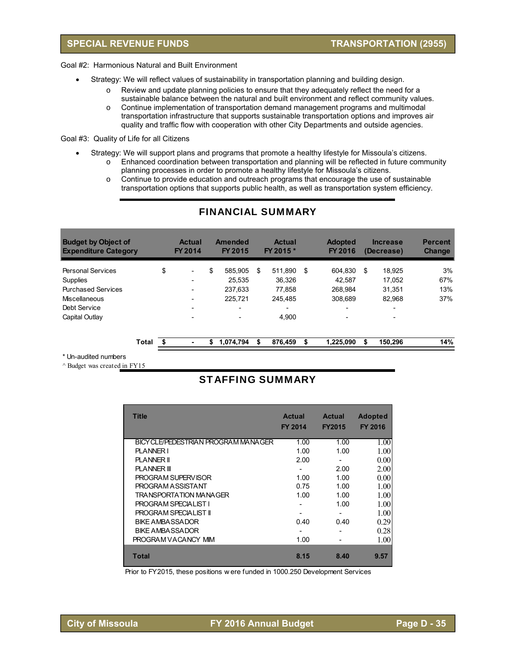## **SPECIAL REVENUE FUNDS TRANSPORTATION (2955)**

Goal #2: Harmonious Natural and Built Environment

- Strategy: We will reflect values of sustainability in transportation planning and building design.
	- o Review and update planning policies to ensure that they adequately reflect the need for a sustainable balance between the natural and built environment and reflect community values.
		- o Continue implementation of transportation demand management programs and multimodal transportation infrastructure that supports sustainable transportation options and improves air quality and traffic flow with cooperation with other City Departments and outside agencies.

Goal #3: Quality of Life for all Citizens

- Strategy: We will support plans and programs that promote a healthy lifestyle for Missoula's citizens. o Enhanced coordination between transportation and planning will be reflected in future community
	- planning processes in order to promote a healthy lifestyle for Missoula's citizens. o Continue to provide education and outreach programs that encourage the use of sustainable
	- transportation options that supports public health, as well as transportation system efficiency.

| <b>Budget by Object of</b><br><b>Expenditure Category</b> |       | <b>Actual</b><br>FY 2014       | Amended<br>FY 2015       | <b>Actual</b><br>FY 2015 * |     | <b>Adopted</b><br>FY 2016 | <b>Increase</b><br>(Decrease) | <b>Percent</b><br><b>Change</b> |
|-----------------------------------------------------------|-------|--------------------------------|--------------------------|----------------------------|-----|---------------------------|-------------------------------|---------------------------------|
| <b>Personal Services</b>                                  |       | \$<br>$\overline{\phantom{a}}$ | \$<br>585.905            | \$<br>511.890              | -\$ | 604.830                   | \$<br>18.925                  | 3%                              |
| Supplies                                                  |       | $\overline{\phantom{0}}$       | 25.535                   | 36.326                     |     | 42.587                    | 17.052                        | 67%                             |
| <b>Purchased Services</b>                                 |       |                                | 237.633                  | 77.858                     |     | 268.984                   | 31.351                        | 13%                             |
| Miscellaneous                                             |       |                                | 225.721                  | 245.485                    |     | 308.689                   | 82.968                        | 37%                             |
| Debt Service                                              |       |                                | $\overline{\phantom{0}}$ |                            |     | -                         |                               |                                 |
| Capital Outlay                                            |       |                                |                          | 4.900                      |     | -                         |                               |                                 |
|                                                           | Total |                                | \$<br>1.074.794          | \$<br>876,459              | \$  | 1.225.090                 | \$<br>150.296                 | 14%                             |

## FINANCIAL SUMMARY

\* Un-audited numbers

 $^{\wedge}$  Budget was created in FY15

## STAFFING SUMMARY

| <b>Title</b>                        | <b>Actual</b><br><b>FY 2014</b> | <b>Actual</b><br><b>FY2015</b> | <b>Adopted</b><br><b>FY 2016</b> |
|-------------------------------------|---------------------------------|--------------------------------|----------------------------------|
| BICY CLE/PEDESTRIAN PROGRAM MANAGER | 1.00                            | 1.00                           | 1.00                             |
| <b>PLANNER I</b>                    | 1.00                            | 1.00                           | 1.00                             |
| <b>PLANNER II</b>                   | 2.00                            |                                | 0.00                             |
| <b>PLANNER III</b>                  |                                 | 2.00                           | 2.00                             |
| <b>PROGRAM SUPERVISOR</b>           | 1.00                            | 1.00                           | 0.00                             |
| PROGRAM ASSISTANT                   | 0.75                            | 1.00                           | 1.00                             |
| TRANSPORTATION MANAGER              | 1.00                            | 1.00                           | 1.00                             |
| <b>PROGRAM SPECIALIST I</b>         |                                 | 1.00                           | 1.00                             |
| <b>PROGRAM SPECIALIST II</b>        |                                 |                                | 1.00                             |
| <b>BIKE AMBASSADOR</b>              | 0.40                            | 0.40                           | 0.29                             |
| <b>BIKE AMBASSADOR</b>              |                                 |                                | 0.28                             |
| PROGRAM VACANCY MIM                 | 1.00                            |                                | 1.00                             |
| <b>Total</b>                        | 8.15                            | 8.40                           | 9.57                             |

Prior to FY2015, these positions w ere funded in 1000.250 Development Services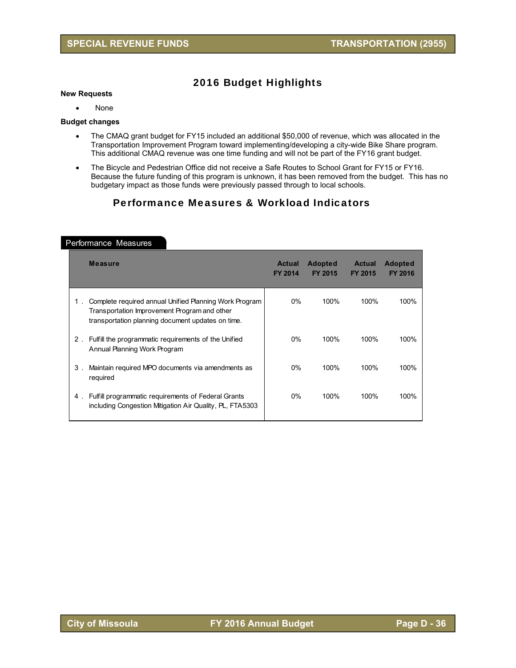# 2016 Budget Highlights

#### **New Requests**

• None

#### **Budget changes**

- The CMAQ grant budget for FY15 included an additional \$50,000 of revenue, which was allocated in the Transportation Improvement Program toward implementing/developing a city-wide Bike Share program. This additional CMAQ revenue was one time funding and will not be part of the FY16 grant budget.
- The Bicycle and Pedestrian Office did not receive a Safe Routes to School Grant for FY15 or FY16. Because the future funding of this program is unknown, it has been removed from the budget. This has no budgetary impact as those funds were previously passed through to local schools.

# Performance Measures & Workload Indicators

|       | <b>Measure</b>                                                                                                                                              | <b>Actual</b><br><b>FY 2014</b> | <b>Adopted</b><br>FY 2015 | <b>Actual</b><br>FY 2015 | <b>Adopted</b><br><b>FY 2016</b> |
|-------|-------------------------------------------------------------------------------------------------------------------------------------------------------------|---------------------------------|---------------------------|--------------------------|----------------------------------|
| 1.    | Complete required annual Unified Planning Work Program<br>Transportation Improvement Program and other<br>transportation planning document updates on time. | $0\%$                           | 100%                      | 100%                     | 100%                             |
| $2$ . | Fulfill the programmatic requirements of the Unified<br>Annual Planning Work Program                                                                        | $0\%$                           | 100%                      | 100%                     | 100%                             |
| 3.    | Maintain required MPO documents via amendments as<br>required                                                                                               | $0\%$                           | 100%                      | 100%                     | 100%                             |
| 4.    | Fulfill programmatic requirements of Federal Grants<br>including Congestion Mitigation Air Quality, PL, FTA5303                                             | $0\%$                           | 100%                      | 100%                     | 100%                             |

#### Performance Measures